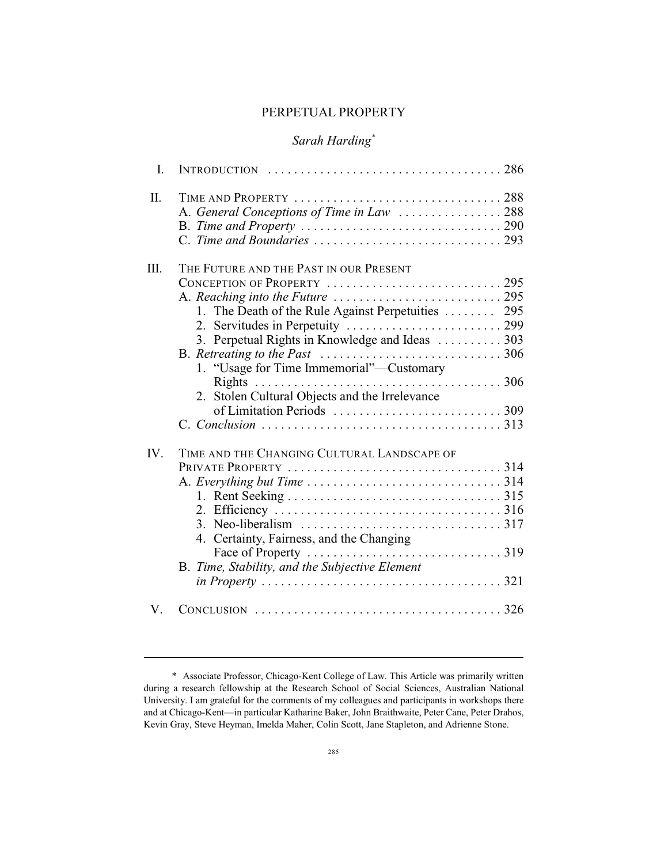### PERPETUAL PROPERTY

# *Sarah Harding\**

| I.   | INTRODUCTION $\ldots \ldots \ldots \ldots \ldots \ldots \ldots \ldots \ldots \ldots \ldots 286$ |  |
|------|-------------------------------------------------------------------------------------------------|--|
| Π.   | TIME AND PROPERTY 288<br>A. General Conceptions of Time in Law 288                              |  |
|      |                                                                                                 |  |
| III. | THE FUTURE AND THE PAST IN OUR PRESENT                                                          |  |
|      | CONCEPTION OF PROPERTY 295                                                                      |  |
|      | A. Reaching into the Future $\dots\dots\dots\dots\dots\dots\dots\dots$                          |  |
|      | 1. The Death of the Rule Against Perpetuities  295                                              |  |
|      |                                                                                                 |  |
|      | 3. Perpetual Rights in Knowledge and Ideas  303                                                 |  |
|      |                                                                                                 |  |
|      | 1. "Usage for Time Immemorial"—Customary                                                        |  |
|      |                                                                                                 |  |
|      | 2. Stolen Cultural Objects and the Irrelevance                                                  |  |
|      |                                                                                                 |  |
|      |                                                                                                 |  |
|      |                                                                                                 |  |
| IV.  | TIME AND THE CHANGING CULTURAL LANDSCAPE OF                                                     |  |
|      | PRIVATE PROPERTY 314                                                                            |  |
|      |                                                                                                 |  |
|      |                                                                                                 |  |
|      |                                                                                                 |  |
|      |                                                                                                 |  |
|      | 4. Certainty, Fairness, and the Changing                                                        |  |
|      |                                                                                                 |  |
|      | B. Time, Stability, and the Subjective Element                                                  |  |
|      |                                                                                                 |  |
| V    |                                                                                                 |  |

<sup>\*</sup> Associate Professor, Chicago-Kent College of Law. This Article was primarily written during a research fellowship at the Research School of Social Sciences, Australian National University. I am grateful for the comments of my colleagues and participants in workshops there and at Chicago-Kent—in particular Katharine Baker, John Braithwaite, Peter Cane, Peter Drahos, Kevin Gray, Steve Heyman, Imelda Maher, Colin Scott, Jane Stapleton, and Adrienne Stone.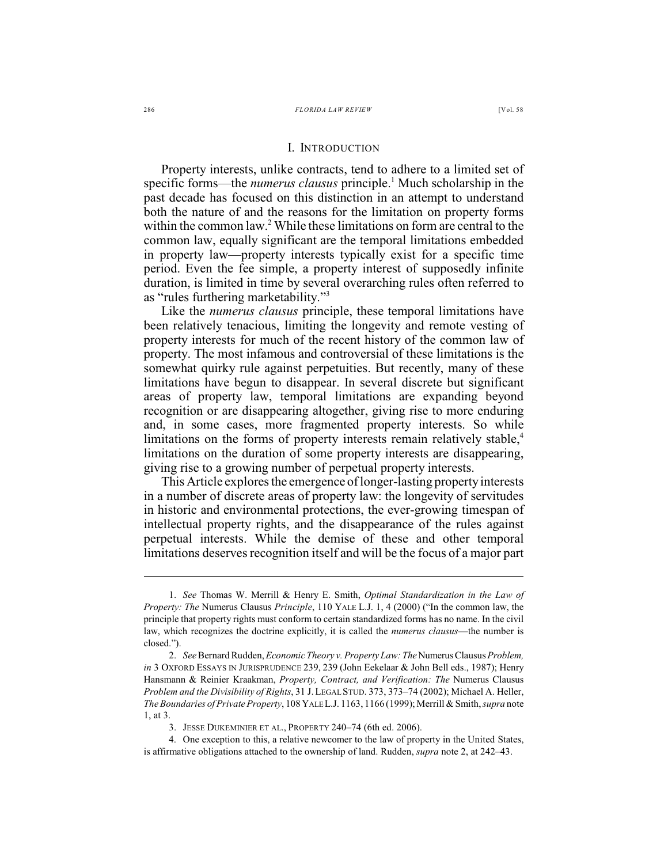Property interests, unlike contracts, tend to adhere to a limited set of specific forms—the *numerus clausus* principle.<sup>1</sup> Much scholarship in the past decade has focused on this distinction in an attempt to understand both the nature of and the reasons for the limitation on property forms within the common law.<sup>2</sup> While these limitations on form are central to the common law, equally significant are the temporal limitations embedded in property law—property interests typically exist for a specific time period. Even the fee simple, a property interest of supposedly infinite duration, is limited in time by several overarching rules often referred to as "rules furthering marketability."<sup>3</sup>

Like the *numerus clausus* principle, these temporal limitations have been relatively tenacious, limiting the longevity and remote vesting of property interests for much of the recent history of the common law of property. The most infamous and controversial of these limitations is the somewhat quirky rule against perpetuities. But recently, many of these limitations have begun to disappear. In several discrete but significant areas of property law, temporal limitations are expanding beyond recognition or are disappearing altogether, giving rise to more enduring and, in some cases, more fragmented property interests. So while limitations on the forms of property interests remain relatively stable,<sup>4</sup> limitations on the duration of some property interests are disappearing, giving rise to a growing number of perpetual property interests.

This Article explores the emergence of longer-lasting property interests in a number of discrete areas of property law: the longevity of servitudes in historic and environmental protections, the ever-growing timespan of intellectual property rights, and the disappearance of the rules against perpetual interests. While the demise of these and other temporal limitations deserves recognition itself and will be the focus of a major part

<sup>1.</sup> *See* Thomas W. Merrill & Henry E. Smith, *Optimal Standardization in the Law of Property: The* Numerus Clausus *Principle*, 110 YALE L.J. 1, 4 (2000) ("In the common law, the principle that property rights must conform to certain standardized forms has no name. In the civil law, which recognizes the doctrine explicitly, it is called the *numerus clausus*—the number is closed.").

<sup>2.</sup> *See* Bernard Rudden,*Economic Theory v. Property Law: The* Numerus Clausus *Problem, in* 3 OXFORD ESSAYS IN JURISPRUDENCE 239, 239 (John Eekelaar & John Bell eds., 1987); Henry Hansmann & Reinier Kraakman, *Property, Contract, and Verification: The* Numerus Clausus *Problem and the Divisibility of Rights*, 31 J.LEGAL STUD. 373, 373–74 (2002); Michael A. Heller, *The Boundaries of Private Property*, 108 YALE L.J. 1163, 1166 (1999); Merrill & Smith,*supra* note 1, at 3.

<sup>3.</sup> JESSE DUKEMINIER ET AL., PROPERTY 240–74 (6th ed. 2006).

<sup>4.</sup> One exception to this, a relative newcomer to the law of property in the United States, is affirmative obligations attached to the ownership of land. Rudden, *supra* note 2, at 242–43.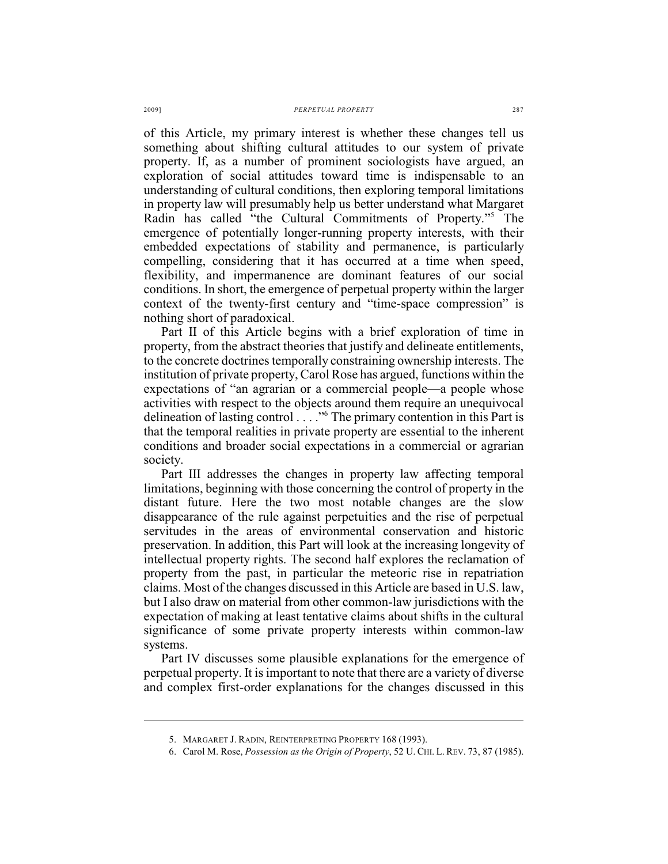of this Article, my primary interest is whether these changes tell us something about shifting cultural attitudes to our system of private property. If, as a number of prominent sociologists have argued, an exploration of social attitudes toward time is indispensable to an understanding of cultural conditions, then exploring temporal limitations in property law will presumably help us better understand what Margaret Radin has called "the Cultural Commitments of Property."<sup>5</sup> The emergence of potentially longer-running property interests, with their embedded expectations of stability and permanence, is particularly compelling, considering that it has occurred at a time when speed, flexibility, and impermanence are dominant features of our social conditions. In short, the emergence of perpetual property within the larger context of the twenty-first century and "time-space compression" is nothing short of paradoxical.

Part II of this Article begins with a brief exploration of time in property, from the abstract theories that justify and delineate entitlements, to the concrete doctrines temporally constraining ownership interests. The institution of private property, Carol Rose has argued, functions within the expectations of "an agrarian or a commercial people—a people whose activities with respect to the objects around them require an unequivocal delineation of lasting control  $\dots$ ." The primary contention in this Part is that the temporal realities in private property are essential to the inherent conditions and broader social expectations in a commercial or agrarian society.

Part III addresses the changes in property law affecting temporal limitations, beginning with those concerning the control of property in the distant future. Here the two most notable changes are the slow disappearance of the rule against perpetuities and the rise of perpetual servitudes in the areas of environmental conservation and historic preservation. In addition, this Part will look at the increasing longevity of intellectual property rights. The second half explores the reclamation of property from the past, in particular the meteoric rise in repatriation claims. Most of the changes discussed in this Article are based in U.S. law, but I also draw on material from other common-law jurisdictions with the expectation of making at least tentative claims about shifts in the cultural significance of some private property interests within common-law systems.

Part IV discusses some plausible explanations for the emergence of perpetual property. It is important to note that there are a variety of diverse and complex first-order explanations for the changes discussed in this

<sup>5.</sup> MARGARET J. RADIN, REINTERPRETING PROPERTY 168 (1993).

<sup>6.</sup> Carol M. Rose, *Possession as the Origin of Property*, 52 U. CHI. L. REV. 73, 87 (1985).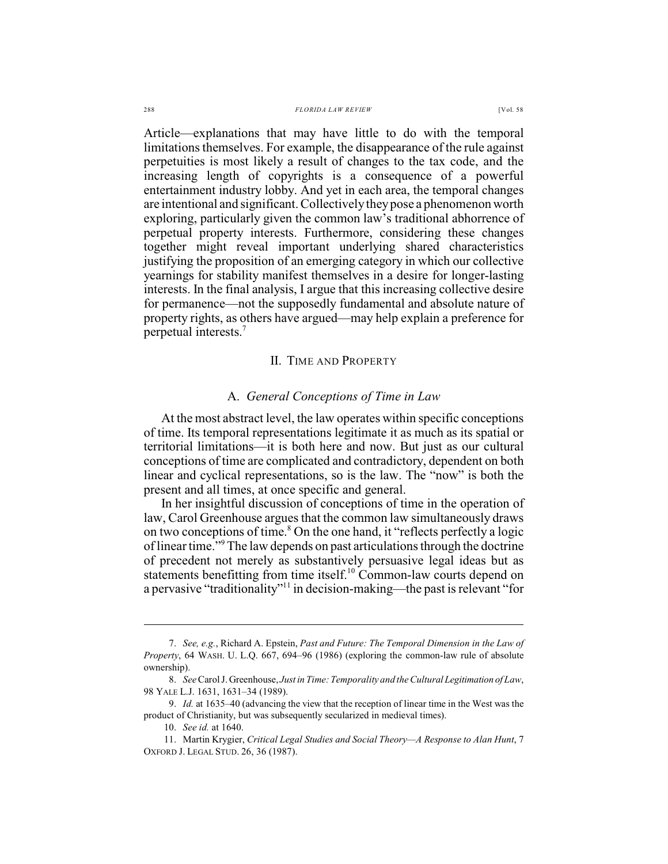#### 288 *FLORIDA LAW REVIEW* [Vol. 58

Article—explanations that may have little to do with the temporal limitations themselves. For example, the disappearance of the rule against perpetuities is most likely a result of changes to the tax code, and the increasing length of copyrights is a consequence of a powerful entertainment industry lobby. And yet in each area, the temporal changes are intentional and significant. Collectively they pose a phenomenon worth exploring, particularly given the common law's traditional abhorrence of perpetual property interests. Furthermore, considering these changes together might reveal important underlying shared characteristics justifying the proposition of an emerging category in which our collective yearnings for stability manifest themselves in a desire for longer-lasting interests. In the final analysis, I argue that this increasing collective desire for permanence—not the supposedly fundamental and absolute nature of property rights, as others have argued—may help explain a preference for perpetual interests. 7

## II. TIME AND PROPERTY

## A. *General Conceptions of Time in Law*

At the most abstract level, the law operates within specific conceptions of time. Its temporal representations legitimate it as much as its spatial or territorial limitations—it is both here and now. But just as our cultural conceptions of time are complicated and contradictory, dependent on both linear and cyclical representations, so is the law. The "now" is both the present and all times, at once specific and general.

In her insightful discussion of conceptions of time in the operation of law, Carol Greenhouse argues that the common law simultaneously draws on two conceptions of time.<sup>8</sup> On the one hand, it "reflects perfectly a logic of linear time."<sup>9</sup> The law depends on past articulations through the doctrine of precedent not merely as substantively persuasive legal ideas but as statements benefitting from time itself.<sup>10</sup> Common-law courts depend on a pervasive "traditionality"<sup>11</sup> in decision-making—the past is relevant "for

<sup>7.</sup> *See, e.g.*, Richard A. Epstein, *Past and Future: The Temporal Dimension in the Law of Property*, 64 WASH. U. L.Q. 667, 694–96 (1986) (exploring the common-law rule of absolute ownership).

<sup>8.</sup> *See* Carol J. Greenhouse, *Just in Time: Temporality and the Cultural Legitimation of Law*, 98 YALE L.J. 1631, 1631–34 (1989).

<sup>9.</sup> *Id.* at 1635–40 (advancing the view that the reception of linear time in the West was the product of Christianity, but was subsequently secularized in medieval times).

<sup>10.</sup> *See id.* at 1640.

<sup>11.</sup> Martin Krygier, *Critical Legal Studies and Social Theory—A Response to Alan Hunt*, 7 OXFORD J. LEGAL STUD. 26, 36 (1987).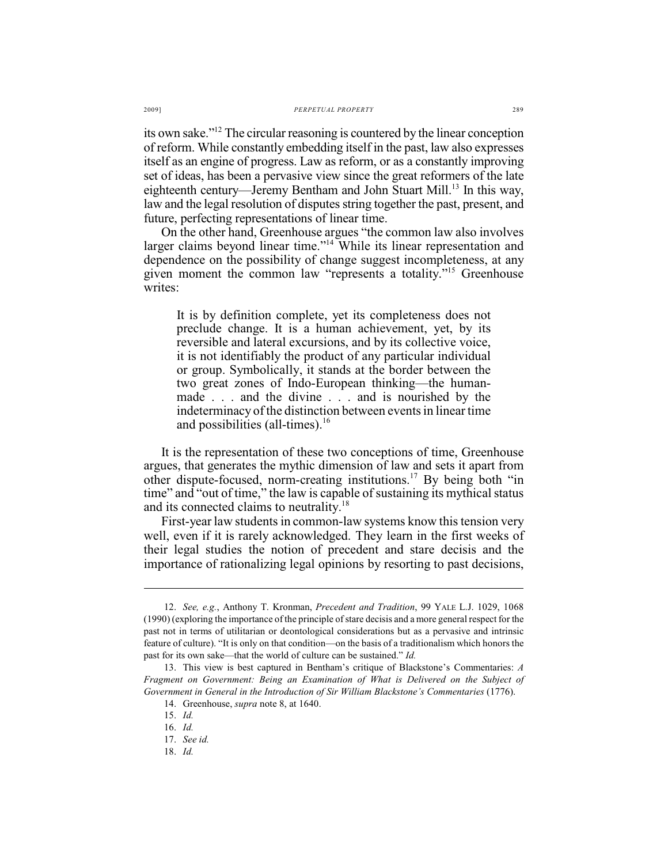its own sake." $\frac{12}{2}$  The circular reasoning is countered by the linear conception of reform. While constantly embedding itself in the past, law also expresses itself as an engine of progress. Law as reform, or as a constantly improving set of ideas, has been a pervasive view since the great reformers of the late eighteenth century—Jeremy Bentham and John Stuart Mill.<sup>13</sup> In this way, law and the legal resolution of disputes string together the past, present, and future, perfecting representations of linear time.

On the other hand, Greenhouse argues "the common law also involves larger claims beyond linear time."<sup> $14$ </sup> While its linear representation and dependence on the possibility of change suggest incompleteness, at any given moment the common law "represents a totality."<sup>15</sup> Greenhouse writes:

It is by definition complete, yet its completeness does not preclude change. It is a human achievement, yet, by its reversible and lateral excursions, and by its collective voice, it is not identifiably the product of any particular individual or group. Symbolically, it stands at the border between the two great zones of Indo-European thinking—the humanmade . . . and the divine . . . and is nourished by the indeterminacy of the distinction between events in linear time and possibilities (all-times). $16$ 

It is the representation of these two conceptions of time, Greenhouse argues, that generates the mythic dimension of law and sets it apart from other dispute-focused, norm-creating institutions.<sup>17</sup> By being both "in time" and "out of time," the law is capable of sustaining its mythical status and its connected claims to neutrality.<sup>18</sup>

First-year law students in common-law systems know this tension very well, even if it is rarely acknowledged. They learn in the first weeks of their legal studies the notion of precedent and stare decisis and the importance of rationalizing legal opinions by resorting to past decisions,

<sup>12.</sup> *See, e.g.*, Anthony T. Kronman, *Precedent and Tradition*, 99 YALE L.J. 1029, 1068 (1990) (exploring the importance of the principle of stare decisis and a more general respect for the past not in terms of utilitarian or deontological considerations but as a pervasive and intrinsic feature of culture). "It is only on that condition—on the basis of a traditionalism which honors the past for its own sake—that the world of culture can be sustained." *Id.*

<sup>13.</sup> This view is best captured in Bentham's critique of Blackstone's Commentaries: *A Fragment on Government: Being an Examination of What is Delivered on the Subject of Government in General in the Introduction of Sir William Blackstone's Commentaries* (1776).

<sup>14.</sup> Greenhouse, *supra* note 8, at 1640.

<sup>15.</sup> *Id.*

<sup>16.</sup> *Id.*

<sup>17.</sup> *See id.*

<sup>18.</sup> *Id.*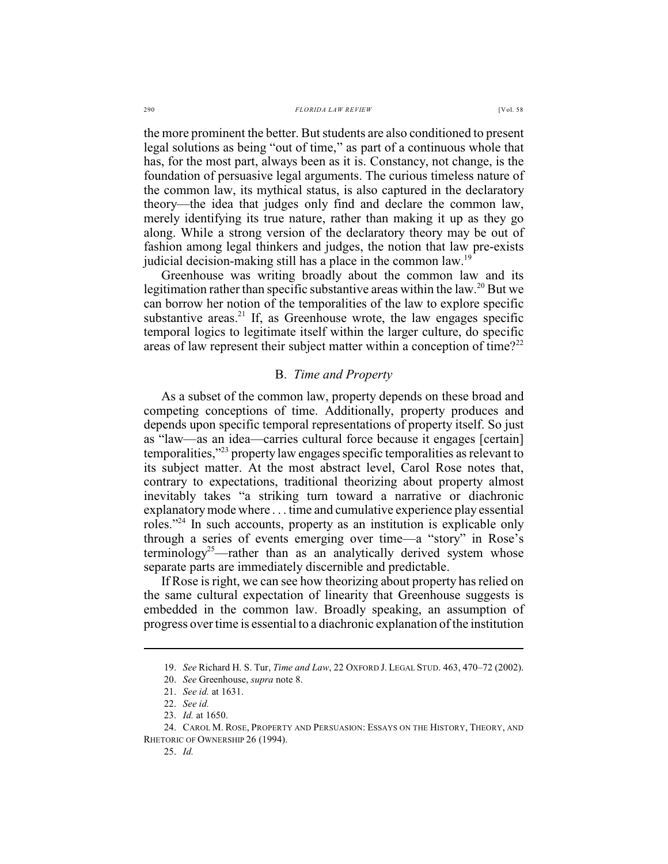the more prominent the better. But students are also conditioned to present legal solutions as being "out of time," as part of a continuous whole that has, for the most part, always been as it is. Constancy, not change, is the foundation of persuasive legal arguments. The curious timeless nature of the common law, its mythical status, is also captured in the declaratory theory—the idea that judges only find and declare the common law, merely identifying its true nature, rather than making it up as they go along. While a strong version of the declaratory theory may be out of fashion among legal thinkers and judges, the notion that law pre-exists judicial decision-making still has a place in the common law.<sup>19</sup>

Greenhouse was writing broadly about the common law and its legitimation rather than specific substantive areas within the law.<sup>20</sup> But we can borrow her notion of the temporalities of the law to explore specific substantive areas.<sup>21</sup> If, as Greenhouse wrote, the law engages specific temporal logics to legitimate itself within the larger culture, do specific areas of law represent their subject matter within a conception of time?<sup>22</sup>

### B. *Time and Property*

As a subset of the common law, property depends on these broad and competing conceptions of time. Additionally, property produces and depends upon specific temporal representations of property itself. So just as "law—as an idea—carries cultural force because it engages [certain] temporalities," $^{23}$  property law engages specific temporalities as relevant to its subject matter. At the most abstract level, Carol Rose notes that, contrary to expectations, traditional theorizing about property almost inevitably takes "a striking turn toward a narrative or diachronic explanatorymode where . . . time and cumulative experience play essential roles." In such accounts, property as an institution is explicable only through a series of events emerging over time—a "story" in Rose's terminology<sup>25</sup>—rather than as an analytically derived system whose separate parts are immediately discernible and predictable.

If Rose is right, we can see how theorizing about property has relied on the same cultural expectation of linearity that Greenhouse suggests is embedded in the common law. Broadly speaking, an assumption of progress over time is essential to a diachronic explanation of the institution

<sup>19.</sup> *See* Richard H. S. Tur, *Time and Law*, 22 OXFORD J. LEGAL STUD. 463, 470–72 (2002).

<sup>20.</sup> *See* Greenhouse, *supra* note 8.

<sup>21.</sup> *See id.* at 1631.

<sup>22.</sup> *See id.*

<sup>23.</sup> *Id.* at 1650.

<sup>24.</sup> CAROL M. ROSE, PROPERTY AND PERSUASION: ESSAYS ON THE HISTORY, THEORY, AND RHETORIC OF OWNERSHIP 26 (1994).

<sup>25.</sup> *Id.*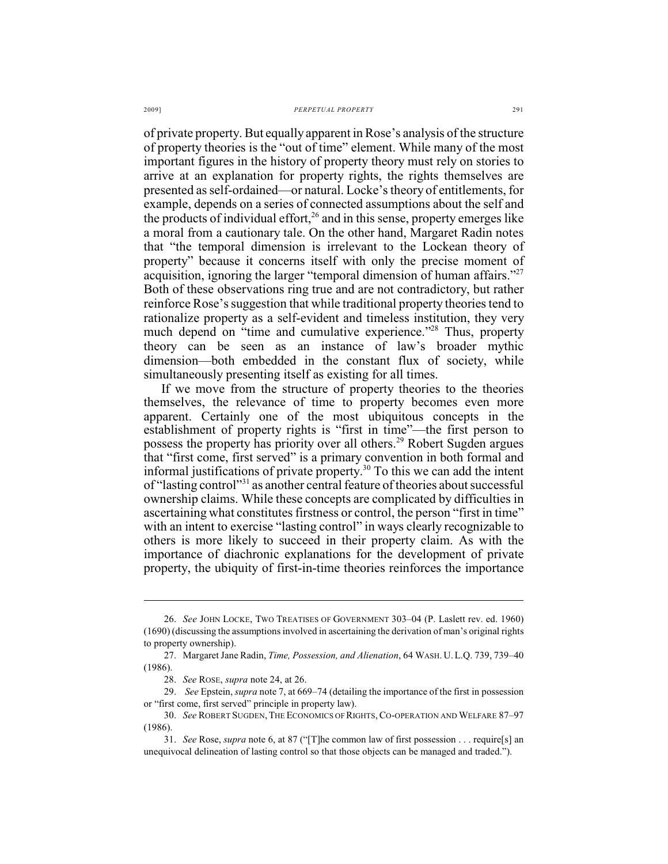of private property. But equally apparent in Rose's analysis of the structure of property theories is the "out of time" element. While many of the most important figures in the history of property theory must rely on stories to arrive at an explanation for property rights, the rights themselves are presented as self-ordained—or natural. Locke's theory of entitlements, for example, depends on a series of connected assumptions about the self and the products of individual effort, $26$  and in this sense, property emerges like a moral from a cautionary tale. On the other hand, Margaret Radin notes that "the temporal dimension is irrelevant to the Lockean theory of property" because it concerns itself with only the precise moment of acquisition, ignoring the larger "temporal dimension of human affairs."<sup>27</sup> Both of these observations ring true and are not contradictory, but rather reinforce Rose's suggestion that while traditional property theories tend to rationalize property as a self-evident and timeless institution, they very much depend on "time and cumulative experience."<sup>28</sup> Thus, property theory can be seen as an instance of law's broader mythic dimension—both embedded in the constant flux of society, while simultaneously presenting itself as existing for all times.

If we move from the structure of property theories to the theories themselves, the relevance of time to property becomes even more apparent. Certainly one of the most ubiquitous concepts in the establishment of property rights is "first in time"—the first person to possess the property has priority over all others.<sup>29</sup> Robert Sugden argues that "first come, first served" is a primary convention in both formal and informal justifications of private property.<sup>30</sup> To this we can add the intent of "lasting control"<sup>31</sup> as another central feature of theories about successful ownership claims. While these concepts are complicated by difficulties in ascertaining what constitutes firstness or control, the person "first in time" with an intent to exercise "lasting control" in ways clearly recognizable to others is more likely to succeed in their property claim. As with the importance of diachronic explanations for the development of private property, the ubiquity of first-in-time theories reinforces the importance

<sup>26.</sup> *See* JOHN LOCKE, TWO TREATISES OF GOVERNMENT 303–04 (P. Laslett rev. ed. 1960) (1690) (discussing the assumptions involved in ascertaining the derivation of man's original rights to property ownership).

<sup>27.</sup> Margaret Jane Radin, *Time, Possession, and Alienation*, 64 WASH. U.L.Q. 739, 739–40 (1986).

<sup>28.</sup> *See* ROSE, *supra* note 24, at 26.

<sup>29.</sup> *See* Epstein, *supra* note 7, at 669–74 (detailing the importance of the first in possession or "first come, first served" principle in property law).

<sup>30.</sup> *See* ROBERT SUGDEN,THE ECONOMICS OF RIGHTS,CO-OPERATION AND WELFARE 87–97 (1986).

<sup>31.</sup> *See* Rose, *supra* note 6, at 87 ("[T]he common law of first possession . . . require[s] an unequivocal delineation of lasting control so that those objects can be managed and traded.").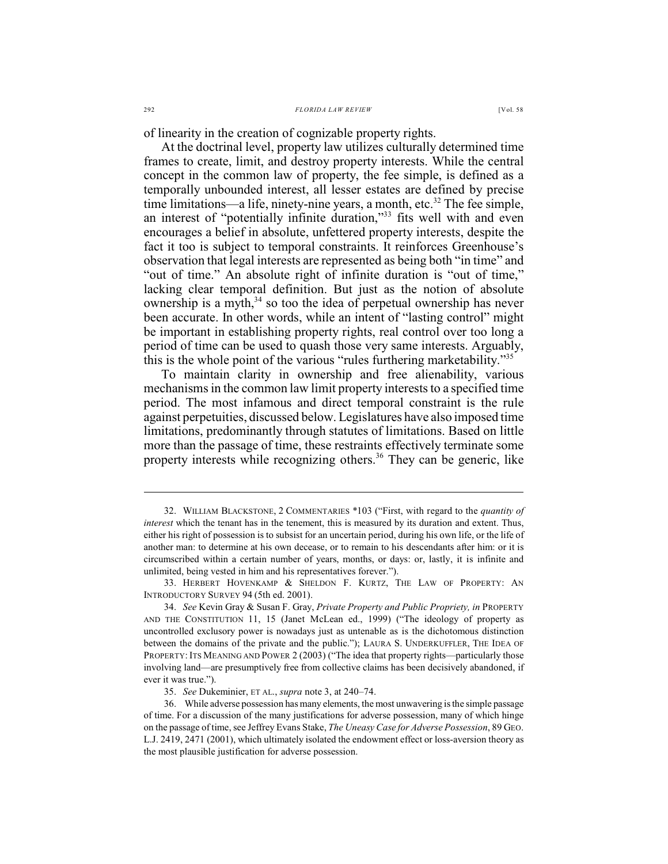of linearity in the creation of cognizable property rights.

At the doctrinal level, property law utilizes culturally determined time frames to create, limit, and destroy property interests. While the central concept in the common law of property, the fee simple, is defined as a temporally unbounded interest, all lesser estates are defined by precise time limitations—a life, ninety-nine years, a month, etc. $32$  The fee simple, an interest of "potentially infinite duration,"<sup>33</sup> fits well with and even encourages a belief in absolute, unfettered property interests, despite the fact it too is subject to temporal constraints. It reinforces Greenhouse's observation that legal interests are represented as being both "in time" and "out of time." An absolute right of infinite duration is "out of time," lacking clear temporal definition. But just as the notion of absolute ownership is a myth,  $34$  so too the idea of perpetual ownership has never been accurate. In other words, while an intent of "lasting control" might be important in establishing property rights, real control over too long a period of time can be used to quash those very same interests. Arguably, this is the whole point of the various "rules furthering marketability."<sup>35</sup>

To maintain clarity in ownership and free alienability, various mechanisms in the common law limit property interests to a specified time period. The most infamous and direct temporal constraint is the rule against perpetuities, discussed below. Legislatures have also imposed time limitations, predominantly through statutes of limitations. Based on little more than the passage of time, these restraints effectively terminate some property interests while recognizing others.<sup>36</sup> They can be generic, like

<sup>32.</sup> WILLIAM BLACKSTONE, 2 COMMENTARIES \*103 ("First, with regard to the *quantity of interest* which the tenant has in the tenement, this is measured by its duration and extent. Thus, either his right of possession is to subsist for an uncertain period, during his own life, or the life of another man: to determine at his own decease, or to remain to his descendants after him: or it is circumscribed within a certain number of years, months, or days: or, lastly, it is infinite and unlimited, being vested in him and his representatives forever.").

<sup>33.</sup> HERBERT HOVENKAMP & SHELDON F. KURTZ, THE LAW OF PROPERTY: AN INTRODUCTORY SURVEY 94 (5th ed. 2001).

<sup>34.</sup> *See* Kevin Gray & Susan F. Gray, *Private Property and Public Propriety, in* PROPERTY AND THE CONSTITUTION 11, 15 (Janet McLean ed., 1999) ("The ideology of property as uncontrolled exclusory power is nowadays just as untenable as is the dichotomous distinction between the domains of the private and the public."); LAURA S. UNDERKUFFLER, THE IDEA OF PROPERTY: ITS MEANING AND POWER 2 (2003) ("The idea that property rights—particularly those involving land—are presumptively free from collective claims has been decisively abandoned, if ever it was true.").

<sup>35.</sup> *See* Dukeminier, ET AL., *supra* note 3, at 240–74.

<sup>36.</sup> While adverse possession has many elements, the most unwavering is the simple passage of time. For a discussion of the many justifications for adverse possession, many of which hinge on the passage of time, see Jeffrey Evans Stake, *The Uneasy Case for Adverse Possession*, 89 GEO. L.J. 2419, 2471 (2001), which ultimately isolated the endowment effect or loss-aversion theory as the most plausible justification for adverse possession.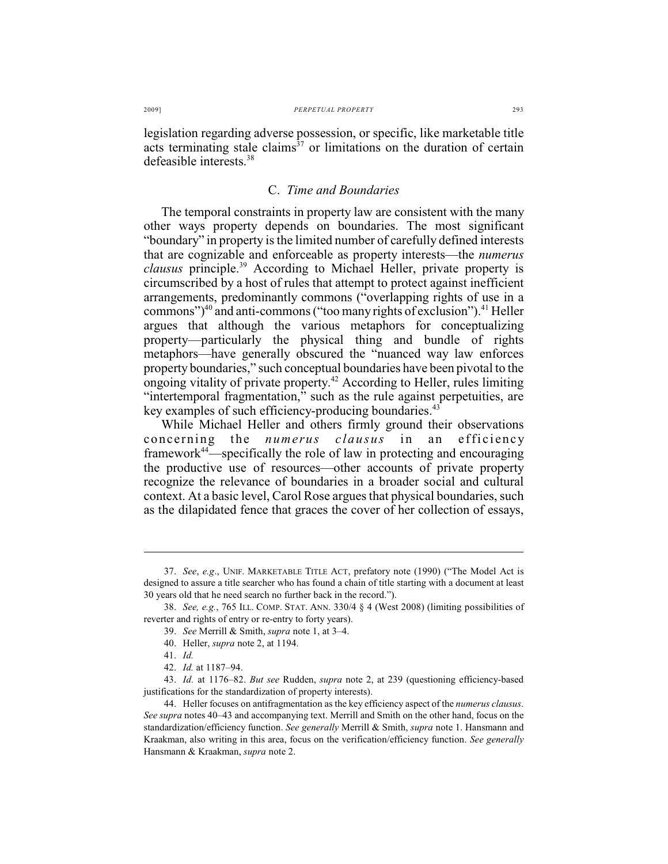legislation regarding adverse possession, or specific, like marketable title acts terminating stale claims<sup>37</sup> or limitations on the duration of certain defeasible interests. 38

## C. *Time and Boundaries*

The temporal constraints in property law are consistent with the many other ways property depends on boundaries. The most significant "boundary" in property is the limited number of carefully defined interests that are cognizable and enforceable as property interests—the *numerus clausus* principle.<sup>39</sup> According to Michael Heller, private property is circumscribed by a host of rules that attempt to protect against inefficient arrangements, predominantly commons ("overlapping rights of use in a commons") $40$  and anti-commons ("too many rights of exclusion"). $41$  Heller argues that although the various metaphors for conceptualizing property—particularly the physical thing and bundle of rights metaphors—have generally obscured the "nuanced way law enforces property boundaries," such conceptual boundaries have been pivotal to the ongoing vitality of private property.<sup>42</sup> According to Heller, rules limiting "intertemporal fragmentation," such as the rule against perpetuities, are key examples of such efficiency-producing boundaries.<sup>43</sup>

While Michael Heller and others firmly ground their observations concerning the *numerus clausus* in an efficiency framework<sup>44</sup>—specifically the role of law in protecting and encouraging the productive use of resources—other accounts of private property recognize the relevance of boundaries in a broader social and cultural context. At a basic level, Carol Rose argues that physical boundaries, such as the dilapidated fence that graces the cover of her collection of essays,

<sup>37.</sup> *See*, *e.g*., UNIF. MARKETABLE TITLE ACT, prefatory note (1990) ("The Model Act is designed to assure a title searcher who has found a chain of title starting with a document at least 30 years old that he need search no further back in the record.").

<sup>38.</sup> *See, e.g.*, 765 ILL. COMP. STAT. ANN. 330/4 § 4 (West 2008) (limiting possibilities of reverter and rights of entry or re-entry to forty years).

<sup>39.</sup> *See* Merrill & Smith, *supra* note 1, at 3–4.

<sup>40.</sup> Heller, *supra* note 2, at 1194.

<sup>41.</sup> *Id.*

<sup>42.</sup> *Id.* at 1187–94.

<sup>43.</sup> *Id.* at 1176–82. *But see* Rudden, *supra* note 2, at 239 (questioning efficiency-based justifications for the standardization of property interests).

<sup>44.</sup> Heller focuses on antifragmentation as the key efficiency aspect of the *numerus clausus*. *See supra* notes 40–43 and accompanying text. Merrill and Smith on the other hand, focus on the standardization/efficiency function. *See generally* Merrill & Smith, *supra* note 1. Hansmann and Kraakman, also writing in this area, focus on the verification/efficiency function. *See generally* Hansmann & Kraakman, *supra* note 2.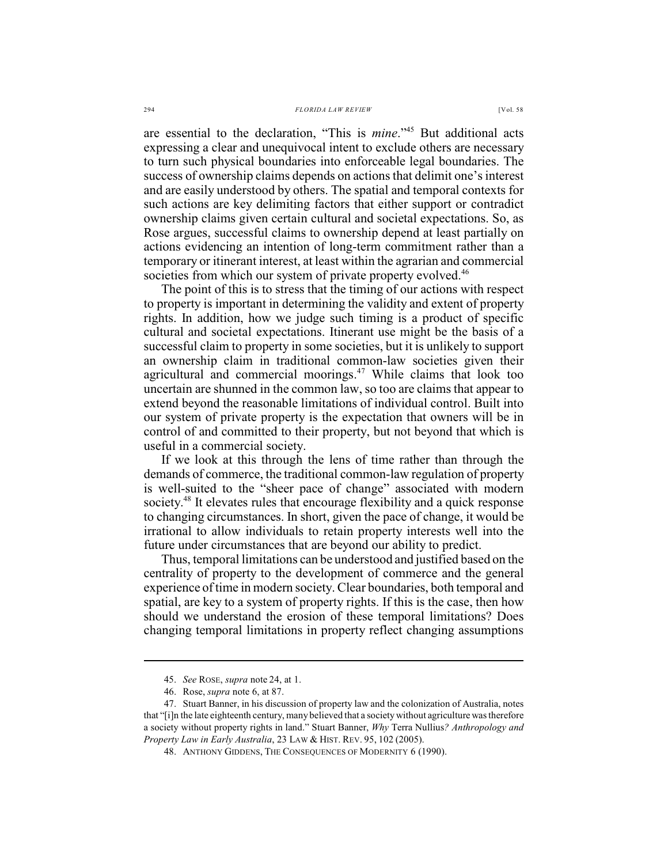are essential to the declaration, "This is *mine*."<sup>45</sup> But additional acts expressing a clear and unequivocal intent to exclude others are necessary to turn such physical boundaries into enforceable legal boundaries. The success of ownership claims depends on actions that delimit one's interest and are easily understood by others. The spatial and temporal contexts for such actions are key delimiting factors that either support or contradict ownership claims given certain cultural and societal expectations. So, as Rose argues, successful claims to ownership depend at least partially on actions evidencing an intention of long-term commitment rather than a temporary or itinerant interest, at least within the agrarian and commercial societies from which our system of private property evolved.<sup>46</sup>

The point of this is to stress that the timing of our actions with respect to property is important in determining the validity and extent of property rights. In addition, how we judge such timing is a product of specific cultural and societal expectations. Itinerant use might be the basis of a successful claim to property in some societies, but it is unlikely to support an ownership claim in traditional common-law societies given their agricultural and commercial moorings.<sup>47</sup> While claims that look too uncertain are shunned in the common law, so too are claims that appear to extend beyond the reasonable limitations of individual control. Built into our system of private property is the expectation that owners will be in control of and committed to their property, but not beyond that which is useful in a commercial society.

If we look at this through the lens of time rather than through the demands of commerce, the traditional common-law regulation of property is well-suited to the "sheer pace of change" associated with modern society.<sup>48</sup> It elevates rules that encourage flexibility and a quick response to changing circumstances. In short, given the pace of change, it would be irrational to allow individuals to retain property interests well into the future under circumstances that are beyond our ability to predict.

Thus, temporal limitations can be understood and justified based on the centrality of property to the development of commerce and the general experience of time in modern society. Clear boundaries, both temporal and spatial, are key to a system of property rights. If this is the case, then how should we understand the erosion of these temporal limitations? Does changing temporal limitations in property reflect changing assumptions

<sup>45.</sup> *See* ROSE, *supra* note 24, at 1.

<sup>46.</sup> Rose, *supra* note 6, at 87.

<sup>47.</sup> Stuart Banner, in his discussion of property law and the colonization of Australia, notes that "[i]n the late eighteenth century, many believed that a society without agriculture was therefore a society without property rights in land." Stuart Banner, *Why* Terra Nullius*? Anthropology and Property Law in Early Australia*, 23 LAW & HIST. REV. 95, 102 (2005).

<sup>48.</sup> ANTHONY GIDDENS, THE CONSEQUENCES OF MODERNITY 6 (1990).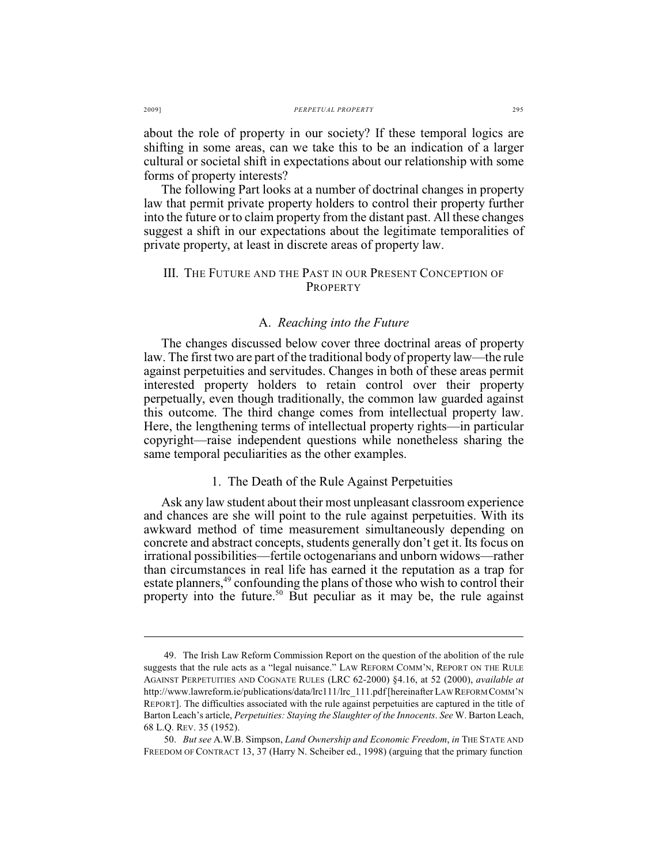about the role of property in our society? If these temporal logics are shifting in some areas, can we take this to be an indication of a larger cultural or societal shift in expectations about our relationship with some forms of property interests?

The following Part looks at a number of doctrinal changes in property law that permit private property holders to control their property further into the future or to claim property from the distant past. All these changes suggest a shift in our expectations about the legitimate temporalities of private property, at least in discrete areas of property law.

### III. THE FUTURE AND THE PAST IN OUR PRESENT CONCEPTION OF PROPERTY

#### A. *Reaching into the Future*

The changes discussed below cover three doctrinal areas of property law. The first two are part of the traditional body of property law—the rule against perpetuities and servitudes. Changes in both of these areas permit interested property holders to retain control over their property perpetually, even though traditionally, the common law guarded against this outcome. The third change comes from intellectual property law. Here, the lengthening terms of intellectual property rights—in particular copyright—raise independent questions while nonetheless sharing the same temporal peculiarities as the other examples.

#### 1. The Death of the Rule Against Perpetuities

Ask any law student about their most unpleasant classroom experience and chances are she will point to the rule against perpetuities. With its awkward method of time measurement simultaneously depending on concrete and abstract concepts, students generally don't get it. Its focus on irrational possibilities—fertile octogenarians and unborn widows—rather than circumstances in real life has earned it the reputation as a trap for estate planners,<sup>49</sup> confounding the plans of those who wish to control their property into the future.<sup>50</sup> But peculiar as it may be, the rule against

<sup>49.</sup> The Irish Law Reform Commission Report on the question of the abolition of the rule suggests that the rule acts as a "legal nuisance." LAW REFORM COMM'N, REPORT ON THE RULE AGAINST PERPETUITIES AND COGNATE RULES (LRC 62-2000) §4.16, at 52 (2000), *available at* http://www.lawreform.ie/publications/data/lrc111/lrc 111.pdf [hereinafter LAW REFORM COMM'N REPORT]. The difficulties associated with the rule against perpetuities are captured in the title of Barton Leach's article, *Perpetuities: Staying the Slaughter of the Innocents*. *See* W. Barton Leach, 68 L.Q. REV. 35 (1952).

<sup>50.</sup> *But see* A.W.B. Simpson, *Land Ownership and Economic Freedom*, *in* THE STATE AND FREEDOM OF CONTRACT 13, 37 (Harry N. Scheiber ed., 1998) (arguing that the primary function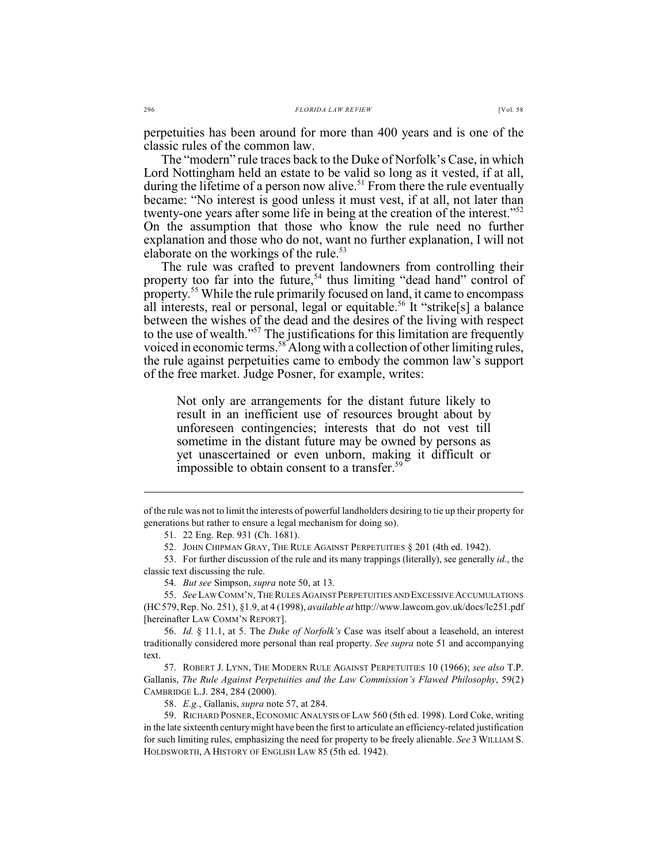perpetuities has been around for more than 400 years and is one of the classic rules of the common law.

The "modern" rule traces back to the Duke of Norfolk's Case, in which Lord Nottingham held an estate to be valid so long as it vested, if at all, during the lifetime of a person now alive.<sup>51</sup> From there the rule eventually became: "No interest is good unless it must vest, if at all, not later than twenty-one years after some life in being at the creation of the interest."<sup>52</sup> On the assumption that those who know the rule need no further explanation and those who do not, want no further explanation, I will not elaborate on the workings of the rule. 53

The rule was crafted to prevent landowners from controlling their property too far into the future,  $54$  thus limiting "dead hand" control of property.<sup>55</sup> While the rule primarily focused on land, it came to encompass all interests, real or personal, legal or equitable.<sup>56</sup> It "strike[s] a balance between the wishes of the dead and the desires of the living with respect to the use of wealth."<sup>57</sup> The justifications for this limitation are frequently voiced in economic terms.<sup>58</sup> Along with a collection of other limiting rules, the rule against perpetuities came to embody the common law's support of the free market. Judge Posner, for example, writes:

Not only are arrangements for the distant future likely to result in an inefficient use of resources brought about by unforeseen contingencies; interests that do not vest till sometime in the distant future may be owned by persons as yet unascertained or even unborn, making it difficult or impossible to obtain consent to a transfer.59

58. *E.g.*, Gallanis, *supra* note 57, at 284.

of the rule was not to limit the interests of powerful landholders desiring to tie up their property for generations but rather to ensure a legal mechanism for doing so).

<sup>51.</sup> 22 Eng. Rep. 931 (Ch. 1681).

<sup>52.</sup> JOHN CHIPMAN GRAY, THE RULE AGAINST PERPETUITIES § 201 (4th ed. 1942).

<sup>53.</sup> For further discussion of the rule and its many trappings (literally), see generally *id.*, the classic text discussing the rule.

<sup>54.</sup> *But see* Simpson, *supra* note 50, at 13.

<sup>55.</sup> *See* LAW COMM'N, THE RULES AGAINST PERPETUITIES AND EXCESSIVE ACCUMULATIONS (HC579,Rep. No. 251), §1.9, at 4 (1998), *available at* http://www.lawcom.gov.uk/docs/lc251.pdf [hereinafter LAW COMM'N REPORT].

<sup>56.</sup> *Id.* § 11.1, at 5. The *Duke of Norfolk's* Case was itself about a leasehold, an interest traditionally considered more personal than real property. *See supra* note 51 and accompanying text.

<sup>57.</sup> ROBERT J. LYNN, THE MODERN RULE AGAINST PERPETUITIES 10 (1966); *see also* T.P. Gallanis, *The Rule Against Perpetuities and the Law Commission's Flawed Philosophy*, 59(2) CAMBRIDGE L.J. 284, 284 (2000).

<sup>59.</sup> RICHARD POSNER,ECONOMIC ANALYSIS OF LAW 560 (5th ed. 1998). Lord Coke, writing in the late sixteenth centurymight have been the first to articulate an efficiency-related justification for such limiting rules, emphasizing the need for property to be freely alienable. *See* 3 WILLIAM S. HOLDSWORTH, A HISTORY OF ENGLISH LAW 85 (5th ed. 1942).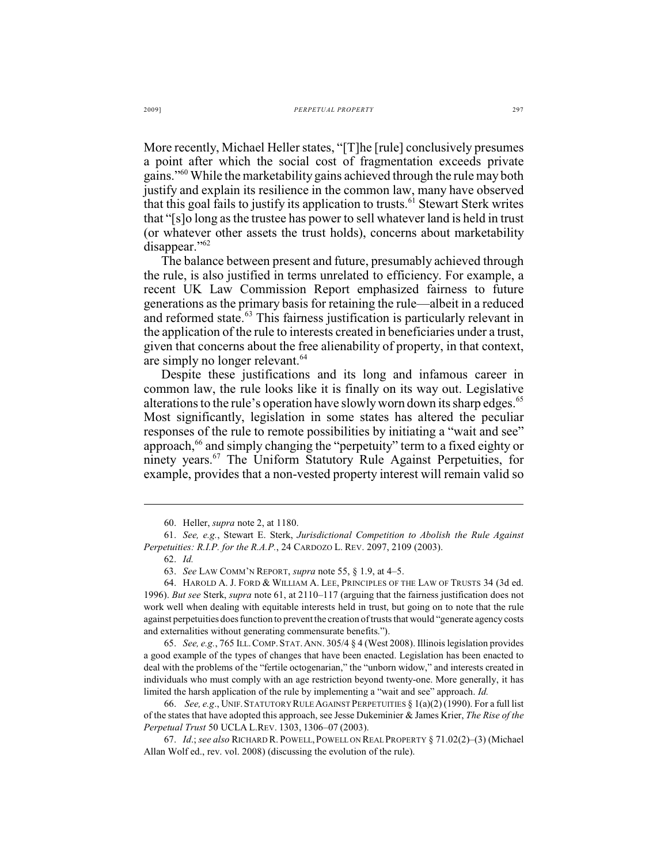More recently, Michael Heller states, "[T]he [rule] conclusively presumes a point after which the social cost of fragmentation exceeds private gains."<sup>60</sup> While the marketability gains achieved through the rule may both justify and explain its resilience in the common law, many have observed that this goal fails to justify its application to trusts.<sup>61</sup> Stewart Sterk writes that "[s]o long as the trustee has power to sell whatever land is held in trust (or whatever other assets the trust holds), concerns about marketability disappear."<sup>62</sup>

The balance between present and future, presumably achieved through the rule, is also justified in terms unrelated to efficiency. For example, a recent UK Law Commission Report emphasized fairness to future generations as the primary basis for retaining the rule—albeit in a reduced and reformed state.<sup>63</sup> This fairness justification is particularly relevant in the application of the rule to interests created in beneficiaries under a trust, given that concerns about the free alienability of property, in that context, are simply no longer relevant.<sup>64</sup>

Despite these justifications and its long and infamous career in common law, the rule looks like it is finally on its way out. Legislative alterations to the rule's operation have slowly worn down its sharp edges.<sup>65</sup> Most significantly, legislation in some states has altered the peculiar responses of the rule to remote possibilities by initiating a "wait and see" approach, <sup>66</sup> and simply changing the "perpetuity" term to a fixed eighty or ninety years.<sup>67</sup> The Uniform Statutory Rule Against Perpetuities, for example, provides that a non-vested property interest will remain valid so

<sup>60.</sup> Heller, *supra* note 2, at 1180.

<sup>61.</sup> *See, e.g.*, Stewart E. Sterk, *Jurisdictional Competition to Abolish the Rule Against Perpetuities: R.I.P. for the R.A.P.*, 24 CARDOZO L. REV. 2097, 2109 (2003).

<sup>62.</sup> *Id.*

<sup>63.</sup> *See* LAW COMM'N REPORT, *supra* note 55, § 1.9, at 4–5.

<sup>64.</sup> HAROLD A. J. FORD & WILLIAM A. LEE, PRINCIPLES OF THE LAW OF TRUSTS 34 (3d ed. 1996). *But see* Sterk, *supra* note 61, at 2110–117 (arguing that the fairness justification does not work well when dealing with equitable interests held in trust, but going on to note that the rule against perpetuities doesfunction to preventthe creation of trusts that would "generate agency costs and externalities without generating commensurate benefits.").

<sup>65.</sup> *See, e.g.*, 765 ILL.COMP.STAT.ANN. 305/4 § 4 (West 2008). Illinois legislation provides a good example of the types of changes that have been enacted. Legislation has been enacted to deal with the problems of the "fertile octogenarian," the "unborn widow," and interests created in individuals who must comply with an age restriction beyond twenty-one. More generally, it has limited the harsh application of the rule by implementing a "wait and see" approach. *Id.*

<sup>66.</sup> *See, e.g*., UNIF.STATUTORY RULE AGAINST PERPETUITIES § 1(a)(2) (1990). For a full list of the states that have adopted this approach, see Jesse Dukeminier & James Krier, *The Rise of the Perpetual Trust* 50 UCLA L.REV. 1303, 1306–07 (2003).

<sup>67.</sup> *Id*.; *see also* RICHARD R. POWELL, POWELL ON REAL PROPERTY § 71.02(2)–(3) (Michael Allan Wolf ed., rev. vol. 2008) (discussing the evolution of the rule).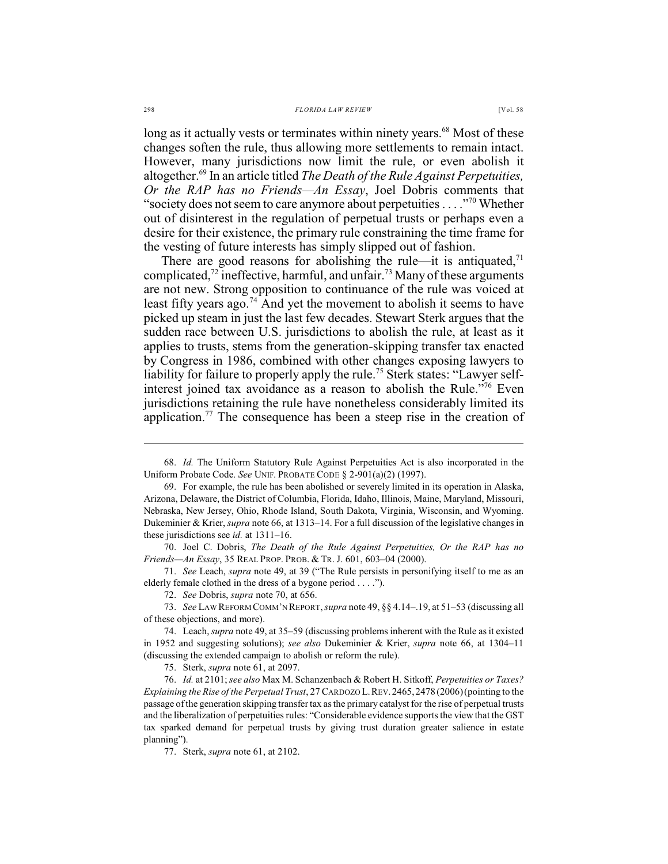long as it actually vests or terminates within ninety years.<sup>68</sup> Most of these changes soften the rule, thus allowing more settlements to remain intact. However, many jurisdictions now limit the rule, or even abolish it altogether.<sup>69</sup> In an article titled *The Death of the Rule Against Perpetuities*, *Or the RAP has no Friends—An Essay*, Joel Dobris comments that "society does not seem to care anymore about perpetuities  $\dots$ ."<sup>70</sup> Whether out of disinterest in the regulation of perpetual trusts or perhaps even a desire for their existence, the primary rule constraining the time frame for the vesting of future interests has simply slipped out of fashion.

There are good reasons for abolishing the rule—it is antiquated, $71$ complicated,  $\frac{1}{2}$  ineffective, harmful, and unfair.<sup>73</sup> Many of these arguments are not new. Strong opposition to continuance of the rule was voiced at least fifty years ago.<sup>74</sup> And yet the movement to abolish it seems to have picked up steam in just the last few decades. Stewart Sterk argues that the sudden race between U.S. jurisdictions to abolish the rule, at least as it applies to trusts, stems from the generation-skipping transfer tax enacted by Congress in 1986, combined with other changes exposing lawyers to liability for failure to properly apply the rule.<sup>75</sup> Sterk states: "Lawyer selfinterest joined tax avoidance as a reason to abolish the Rule.<sup> $176$ </sup> Even jurisdictions retaining the rule have nonetheless considerably limited its application.<sup>77</sup> The consequence has been a steep rise in the creation of

70. Joel C. Dobris, *The Death of the Rule Against Perpetuities, Or the RAP has no Friends—An Essay*, 35 REAL PROP. PROB. & TR. J. 601, 603–04 (2000).

71. *See* Leach, *supra* note 49, at 39 ("The Rule persists in personifying itself to me as an elderly female clothed in the dress of a bygone period . . . .").

<sup>68.</sup> *Id.* The Uniform Statutory Rule Against Perpetuities Act is also incorporated in the Uniform Probate Code. *See* UNIF. PROBATE CODE § 2-901(a)(2) (1997).

<sup>69.</sup> For example, the rule has been abolished or severely limited in its operation in Alaska, Arizona, Delaware, the District of Columbia, Florida, Idaho, Illinois, Maine, Maryland, Missouri, Nebraska, New Jersey, Ohio, Rhode Island, South Dakota, Virginia, Wisconsin, and Wyoming. Dukeminier & Krier, *supra* note 66, at 1313–14. For a full discussion of the legislative changes in these jurisdictions see *id.* at 1311–16.

<sup>72.</sup> *See* Dobris, *supra* note 70, at 656.

<sup>73.</sup> *See* LAW REFORM COMM'N REPORT, *supra* note 49, §§ 4.14–.19, at 51–53 (discussing all of these objections, and more).

<sup>74.</sup> Leach,*supra* note 49, at 35–59 (discussing problems inherent with the Rule as it existed in 1952 and suggesting solutions); *see also* Dukeminier & Krier, *supra* note 66, at 1304–11 (discussing the extended campaign to abolish or reform the rule).

<sup>75.</sup> Sterk, *supra* note 61, at 2097.

<sup>76.</sup> *Id.* at 2101;*see also* Max M. Schanzenbach & Robert H. Sitkoff, *Perpetuities or Taxes? Explaining the Rise of the Perpetual Trust*, 27 CARDOZO L.REV.2465,2478 (2006)(pointing to the passage ofthe generation skipping transfertax asthe primary catalyst for the rise of perpetual trusts and the liberalization of perpetuities rules: "Considerable evidence supports the view that the GST tax sparked demand for perpetual trusts by giving trust duration greater salience in estate planning").

<sup>77.</sup> Sterk, *supra* note 61, at 2102.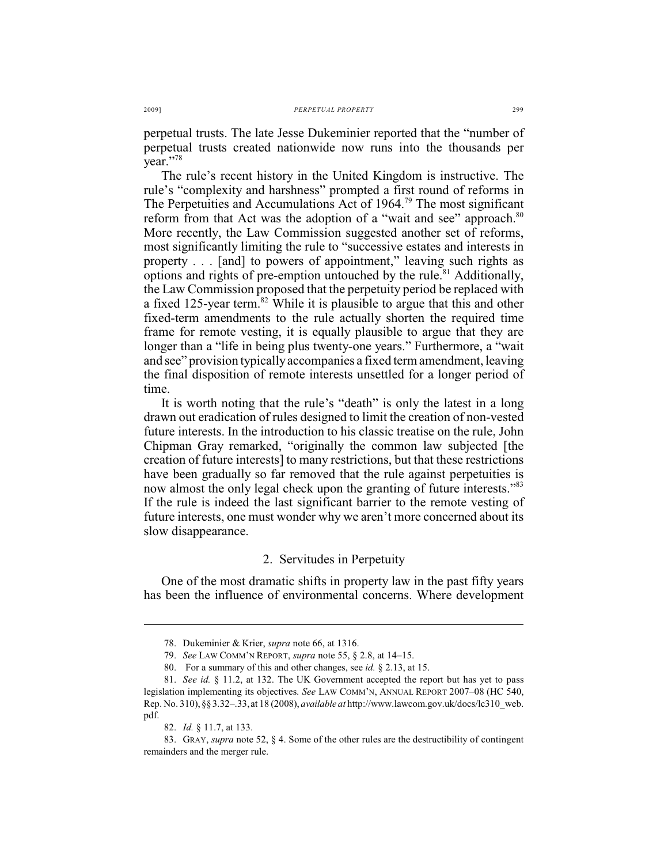perpetual trusts. The late Jesse Dukeminier reported that the "number of perpetual trusts created nationwide now runs into the thousands per year."78

The rule's recent history in the United Kingdom is instructive. The rule's "complexity and harshness" prompted a first round of reforms in The Perpetuities and Accumulations Act of 1964.<sup>79</sup> The most significant reform from that Act was the adoption of a "wait and see" approach.<sup>80</sup> More recently, the Law Commission suggested another set of reforms, most significantly limiting the rule to "successive estates and interests in property . . . [and] to powers of appointment," leaving such rights as options and rights of pre-emption untouched by the rule.<sup>81</sup> Additionally, the Law Commission proposed that the perpetuity period be replaced with a fixed 125-year term.<sup>82</sup> While it is plausible to argue that this and other fixed-term amendments to the rule actually shorten the required time frame for remote vesting, it is equally plausible to argue that they are longer than a "life in being plus twenty-one years." Furthermore, a "wait and see" provision typically accompanies a fixed term amendment, leaving the final disposition of remote interests unsettled for a longer period of time.

It is worth noting that the rule's "death" is only the latest in a long drawn out eradication of rules designed to limit the creation of non-vested future interests. In the introduction to his classic treatise on the rule, John Chipman Gray remarked, "originally the common law subjected [the creation of future interests] to many restrictions, but that these restrictions have been gradually so far removed that the rule against perpetuities is now almost the only legal check upon the granting of future interests."<sup>83</sup> If the rule is indeed the last significant barrier to the remote vesting of future interests, one must wonder why we aren't more concerned about its slow disappearance.

### 2. Servitudes in Perpetuity

One of the most dramatic shifts in property law in the past fifty years has been the influence of environmental concerns. Where development

<sup>78.</sup> Dukeminier & Krier, *supra* note 66, at 1316.

<sup>79.</sup> *See* LAW COMM'N REPORT, *supra* note 55, § 2.8, at 14–15.

<sup>80.</sup> For a summary of this and other changes, see *id.* § 2.13, at 15.

<sup>81.</sup> *See id.* § 11.2, at 132. The UK Government accepted the report but has yet to pass legislation implementing its objectives. *See* LAW COMM'N, ANNUAL REPORT 2007–08 (HC 540, Rep. No. 310),§§3.32–.33,at 18 (2008), *available at* http://www.lawcom.gov.uk/docs/lc310\_web. pdf.

<sup>82.</sup> *Id.* § 11.7, at 133.

<sup>83.</sup> GRAY, *supra* note 52, § 4. Some of the other rules are the destructibility of contingent remainders and the merger rule.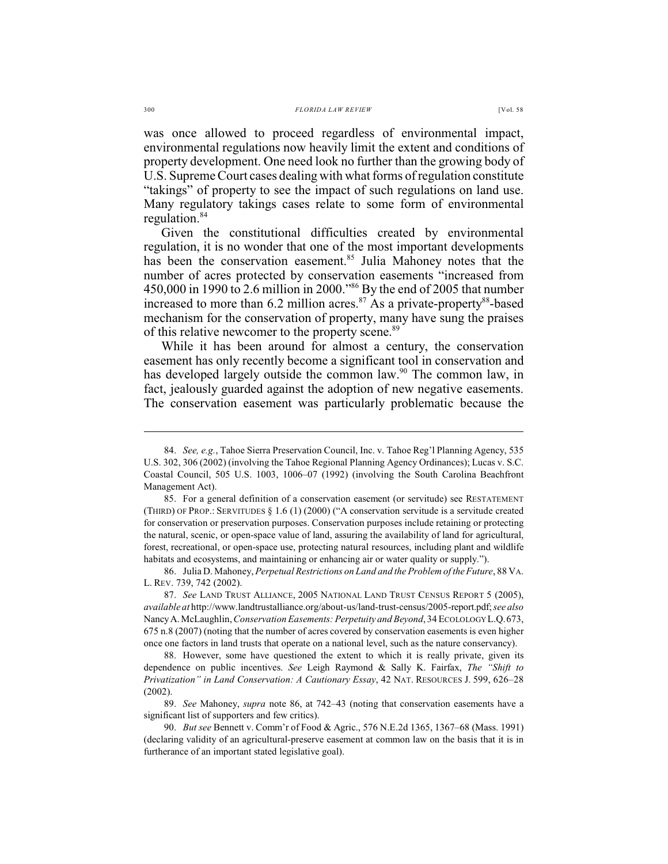was once allowed to proceed regardless of environmental impact, environmental regulations now heavily limit the extent and conditions of property development. One need look no further than the growing body of

U.S. Supreme Court cases dealing with what forms of regulation constitute "takings" of property to see the impact of such regulations on land use. Many regulatory takings cases relate to some form of environmental regulation.<sup>84</sup>

Given the constitutional difficulties created by environmental regulation, it is no wonder that one of the most important developments has been the conservation easement.<sup>85</sup> Julia Mahoney notes that the number of acres protected by conservation easements "increased from 450,000 in 1990 to 2.6 million in 2000."<sup>86</sup> By the end of 2005 that number increased to more than 6.2 million acres. $87$  As a private-property $88$ -based mechanism for the conservation of property, many have sung the praises of this relative newcomer to the property scene.<sup>89</sup>

While it has been around for almost a century, the conservation easement has only recently become a significant tool in conservation and has developed largely outside the common law. $90$  The common law, in fact, jealously guarded against the adoption of new negative easements. The conservation easement was particularly problematic because the

<sup>84.</sup> *See, e.g.*, Tahoe Sierra Preservation Council, Inc. v. Tahoe Reg'l Planning Agency, 535 U.S. 302, 306 (2002) (involving the Tahoe Regional Planning Agency Ordinances); Lucas v. S.C. Coastal Council, 505 U.S. 1003, 1006–07 (1992) (involving the South Carolina Beachfront Management Act).

<sup>85.</sup> For a general definition of a conservation easement (or servitude) see RESTATEMENT (THIRD) OF PROP.: SERVITUDES § 1.6 (1) (2000) ("A conservation servitude is a servitude created for conservation or preservation purposes. Conservation purposes include retaining or protecting the natural, scenic, or open-space value of land, assuring the availability of land for agricultural, forest, recreational, or open-space use, protecting natural resources, including plant and wildlife habitats and ecosystems, and maintaining or enhancing air or water quality or supply.").

<sup>86.</sup> Julia D. Mahoney, *Perpetual Restrictions on Land and the Problem of the Future*, 88 VA. L. REV. 739, 742 (2002).

<sup>87.</sup> *See* LAND TRUST ALLIANCE, 2005 NATIONAL LAND TRUST CENSUS REPORT 5 (2005), *available at* http://www.landtrustalliance.org/about-us/land-trust-census/2005-report.pdf; *see also* Nancy A. McLaughlin,*Conservation Easements: Perpetuity and Beyond*, 34 ECOLOLOGY L.Q.673, 675 n.8 (2007) (noting that the number of acres covered by conservation easements is even higher once one factors in land trusts that operate on a national level, such as the nature conservancy).

<sup>88.</sup> However, some have questioned the extent to which it is really private, given its dependence on public incentives. *See* Leigh Raymond & Sally K. Fairfax, *The "Shift to Privatization" in Land Conservation: A Cautionary Essay*, 42 NAT. RESOURCES J. 599, 626–28 (2002).

<sup>89.</sup> *See* Mahoney, *supra* note 86, at 742–43 (noting that conservation easements have a significant list of supporters and few critics).

<sup>90.</sup> *But see* Bennett v. Comm'r of Food & Agric., 576 N.E.2d 1365, 1367–68 (Mass. 1991) (declaring validity of an agricultural-preserve easement at common law on the basis that it is in furtherance of an important stated legislative goal).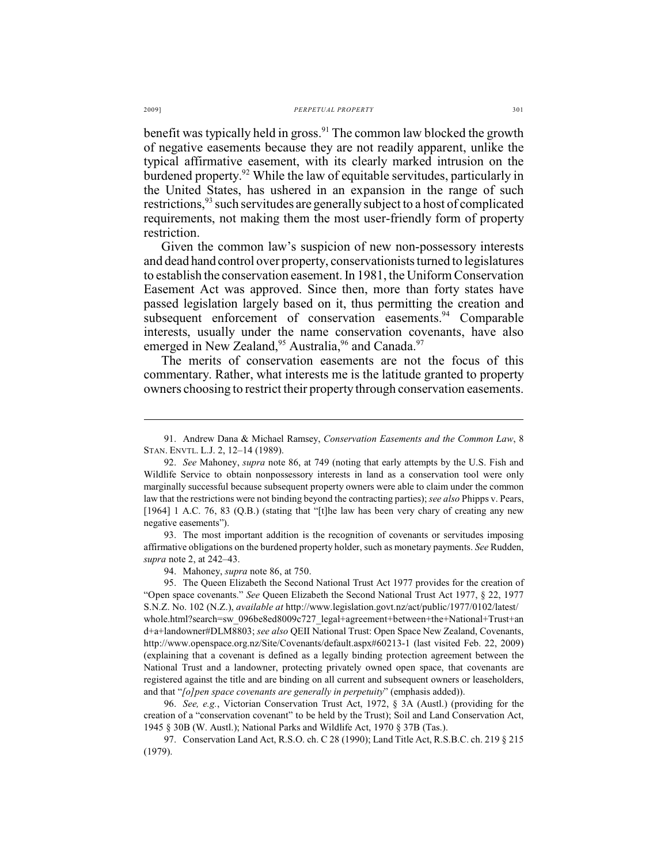benefit was typically held in gross.<sup>91</sup> The common law blocked the growth of negative easements because they are not readily apparent, unlike the typical affirmative easement, with its clearly marked intrusion on the burdened property. $92$  While the law of equitable servitudes, particularly in the United States, has ushered in an expansion in the range of such restrictions,  $93$  such servitudes are generally subject to a host of complicated requirements, not making them the most user-friendly form of property restriction.

Given the common law's suspicion of new non-possessory interests and dead hand control over property, conservationists turned to legislatures to establish the conservation easement. In 1981, the Uniform Conservation Easement Act was approved. Since then, more than forty states have passed legislation largely based on it, thus permitting the creation and subsequent enforcement of conservation easements.<sup>94</sup> Comparable interests, usually under the name conservation covenants, have also emerged in New Zealand,  $95$  Australia,  $96$  and Canada.  $97$ 

The merits of conservation easements are not the focus of this commentary. Rather, what interests me is the latitude granted to property owners choosing to restrict their property through conservation easements.

93. The most important addition is the recognition of covenants or servitudes imposing affirmative obligations on the burdened property holder, such as monetary payments. *See* Rudden, *supra* note 2, at 242–43.

94. Mahoney, *supra* note 86, at 750.

<sup>91.</sup> Andrew Dana & Michael Ramsey, *Conservation Easements and the Common Law*, 8 STAN. ENVTL. L.J. 2, 12–14 (1989).

<sup>92.</sup> *See* Mahoney, *supra* note 86, at 749 (noting that early attempts by the U.S. Fish and Wildlife Service to obtain nonpossessory interests in land as a conservation tool were only marginally successful because subsequent property owners were able to claim under the common law that the restrictions were not binding beyond the contracting parties); *see also* Phipps v. Pears, [1964] 1 A.C. 76, 83 (Q.B.) (stating that "[t]he law has been very chary of creating any new negative easements").

<sup>95.</sup> The Queen Elizabeth the Second National Trust Act 1977 provides for the creation of "Open space covenants." *See* Queen Elizabeth the Second National Trust Act 1977, § 22, 1977 S.N.Z. No. 102 (N.Z.), *available at* http://www.legislation.govt.nz/act/public/1977/0102/latest/ whole.html?search=sw\_096be8ed8009c727\_legal+agreement+between+the+National+Trust+an d+a+landowner#DLM8803; *see also* QEII National Trust: Open Space New Zealand, Covenants, http://www.openspace.org.nz/Site/Covenants/default.aspx#60213-1 (last visited Feb. 22, 2009) (explaining that a covenant is defined as a legally binding protection agreement between the National Trust and a landowner, protecting privately owned open space, that covenants are registered against the title and are binding on all current and subsequent owners or leaseholders, and that "*[o]pen space covenants are generally in perpetuity*" (emphasis added)).

<sup>96.</sup> *See, e.g.*, Victorian Conservation Trust Act, 1972, § 3A (Austl.) (providing for the creation of a "conservation covenant" to be held by the Trust); Soil and Land Conservation Act, 1945 § 30B (W. Austl.); National Parks and Wildlife Act, 1970 § 37B (Tas.).

<sup>97.</sup> Conservation Land Act, R.S.O. ch. C 28 (1990); Land Title Act, R.S.B.C. ch. 219 § 215 (1979).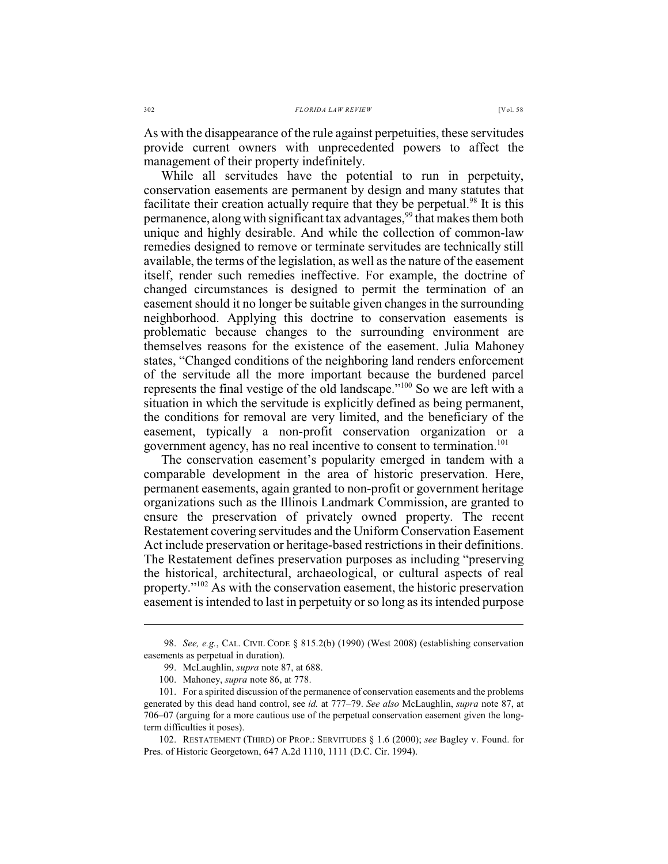As with the disappearance of the rule against perpetuities, these servitudes provide current owners with unprecedented powers to affect the management of their property indefinitely.

While all servitudes have the potential to run in perpetuity, conservation easements are permanent by design and many statutes that facilitate their creation actually require that they be perpetual.<sup>98</sup> It is this permanence, along with significant tax advantages,<sup>99</sup> that makes them both unique and highly desirable. And while the collection of common-law remedies designed to remove or terminate servitudes are technically still available, the terms of the legislation, as well as the nature of the easement itself, render such remedies ineffective. For example, the doctrine of changed circumstances is designed to permit the termination of an easement should it no longer be suitable given changes in the surrounding neighborhood. Applying this doctrine to conservation easements is problematic because changes to the surrounding environment are themselves reasons for the existence of the easement. Julia Mahoney states, "Changed conditions of the neighboring land renders enforcement of the servitude all the more important because the burdened parcel represents the final vestige of the old landscape." $100$  So we are left with a situation in which the servitude is explicitly defined as being permanent, the conditions for removal are very limited, and the beneficiary of the easement, typically a non-profit conservation organization or a government agency, has no real incentive to consent to termination.<sup>101</sup>

The conservation easement's popularity emerged in tandem with a comparable development in the area of historic preservation. Here, permanent easements, again granted to non-profit or government heritage organizations such as the Illinois Landmark Commission, are granted to ensure the preservation of privately owned property. The recent Restatement covering servitudes and the Uniform Conservation Easement Act include preservation or heritage-based restrictions in their definitions. The Restatement defines preservation purposes as including "preserving the historical, architectural, archaeological, or cultural aspects of real property." $102$  As with the conservation easement, the historic preservation easement is intended to last in perpetuity or so long as its intended purpose

<sup>98.</sup> *See, e.g.*, CAL. CIVIL CODE § 815.2(b) (1990) (West 2008) (establishing conservation easements as perpetual in duration).

<sup>99.</sup> McLaughlin, *supra* note 87, at 688.

<sup>100.</sup> Mahoney, *supra* note 86, at 778.

<sup>101.</sup> For a spirited discussion of the permanence of conservation easements and the problems generated by this dead hand control, see *id.* at 777–79. *See also* McLaughlin, *supra* note 87, at 706–07 (arguing for a more cautious use of the perpetual conservation easement given the longterm difficulties it poses).

<sup>102.</sup> RESTATEMENT (THIRD) OF PROP.: SERVITUDES § 1.6 (2000); *see* Bagley v. Found. for Pres. of Historic Georgetown, 647 A.2d 1110, 1111 (D.C. Cir. 1994).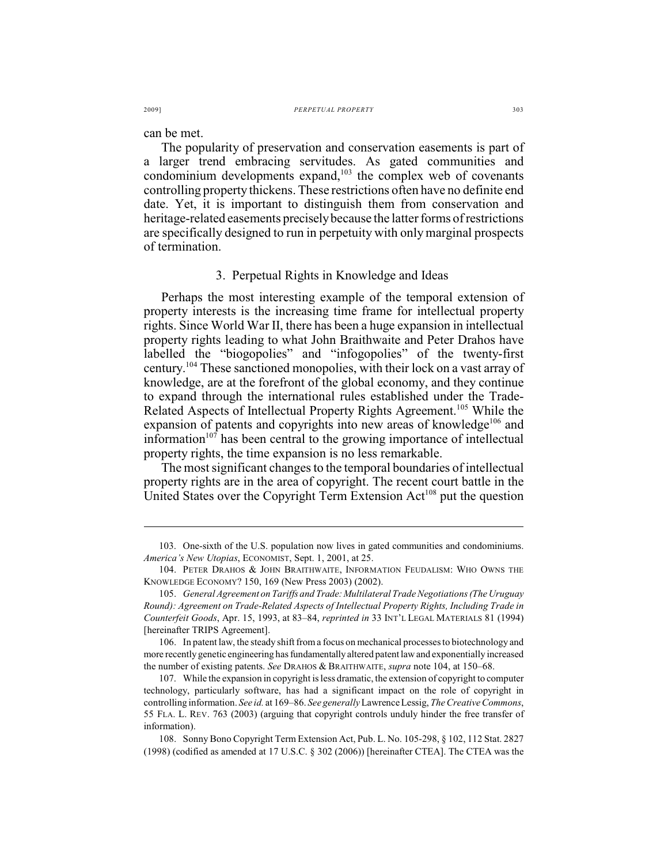can be met.

The popularity of preservation and conservation easements is part of a larger trend embracing servitudes. As gated communities and condominium developments expand,  $103$  the complex web of covenants controlling property thickens. These restrictions often have no definite end date. Yet, it is important to distinguish them from conservation and heritage-related easements precisely because the latter forms of restrictions are specifically designed to run in perpetuity with only marginal prospects of termination.

#### 3. Perpetual Rights in Knowledge and Ideas

Perhaps the most interesting example of the temporal extension of property interests is the increasing time frame for intellectual property rights. Since World War II, there has been a huge expansion in intellectual property rights leading to what John Braithwaite and Peter Drahos have labelled the "biogopolies" and "infogopolies" of the twenty-first century.  $104$  These sanctioned monopolies, with their lock on a vast array of knowledge, are at the forefront of the global economy, and they continue to expand through the international rules established under the Trade-Related Aspects of Intellectual Property Rights Agreement.<sup>105</sup> While the expansion of patents and copyrights into new areas of knowledge<sup> $106$ </sup> and information $107$  has been central to the growing importance of intellectual property rights, the time expansion is no less remarkable.

The most significant changes to the temporal boundaries of intellectual property rights are in the area of copyright. The recent court battle in the United States over the Copyright Term Extension  $Act^{108}$  put the question

<sup>103.</sup> One-sixth of the U.S. population now lives in gated communities and condominiums. *America's New Utopias*, ECONOMIST, Sept. 1, 2001, at 25.

<sup>104.</sup> PETER DRAHOS & JOHN BRAITHWAITE, INFORMATION FEUDALISM: WHO OWNS THE KNOWLEDGE ECONOMY? 150, 169 (New Press 2003) (2002).

<sup>105.</sup> *General Agreement on Tariffs and Trade: Multilateral Trade Negotiations (The Uruguay Round): Agreement on Trade-Related Aspects of Intellectual Property Rights, Including Trade in Counterfeit Goods*, Apr. 15, 1993, at 83–84, *reprinted in* 33 INT'L LEGAL MATERIALS 81 (1994) [hereinafter TRIPS Agreement].

<sup>106.</sup> In patent law, the steady shift from a focus on mechanical processes to biotechnology and more recently genetic engineering has fundamentally altered patent law and exponentially increased the number of existing patents. *See* DRAHOS & BRAITHWAITE, *supra* note 104, at 150–68.

<sup>107.</sup> While the expansion in copyright is less dramatic, the extension of copyright to computer technology, particularly software, has had a significant impact on the role of copyright in controlling information. *See id.* at 169–86. *See generally* Lawrence Lessig, *The Creative Commons*, 55 FLA. L. REV. 763 (2003) (arguing that copyright controls unduly hinder the free transfer of information).

<sup>108.</sup> Sonny Bono Copyright Term Extension Act, Pub. L. No. 105-298, § 102, 112 Stat. 2827 (1998) (codified as amended at 17 U.S.C. § 302 (2006)) [hereinafter CTEA]. The CTEA was the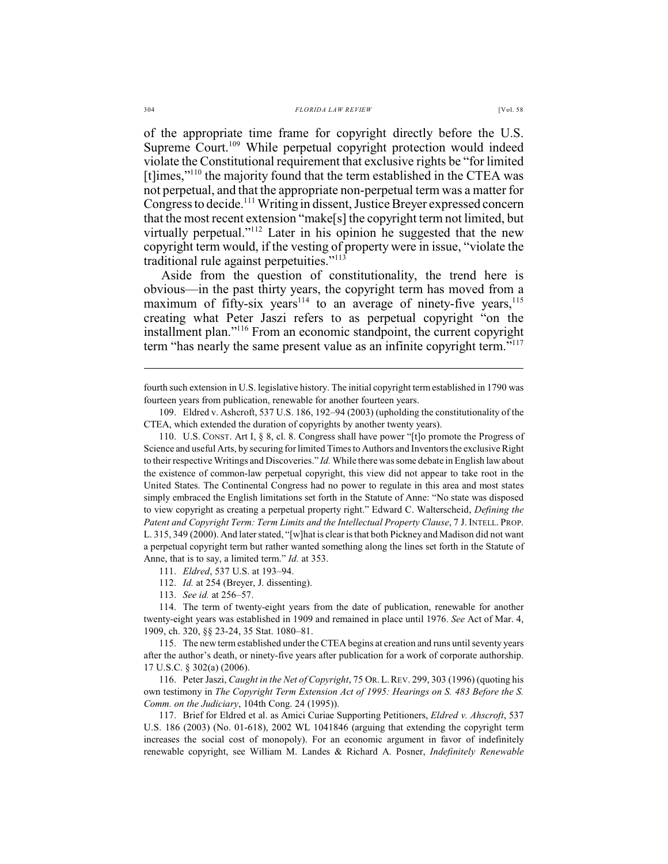of the appropriate time frame for copyright directly before the U.S. Supreme Court.<sup>109</sup> While perpetual copyright protection would indeed violate the Constitutional requirement that exclusive rights be "for limited [t] $imes$ ,"<sup>110</sup> the majority found that the term established in the CTEA was not perpetual, and that the appropriate non-perpetual term was a matter for Congress to decide.<sup>111</sup> Writing in dissent, Justice Breyer expressed concern that the most recent extension "make[s] the copyright term not limited, but virtually perpetual."<sup>112</sup> Later in his opinion he suggested that the new copyright term would, if the vesting of property were in issue, "violate the traditional rule against perpetuities."<sup>113</sup>

Aside from the question of constitutionality, the trend here is obvious—in the past thirty years, the copyright term has moved from a maximum of fifty-six years<sup>114</sup> to an average of ninety-five years,<sup>115</sup> creating what Peter Jaszi refers to as perpetual copyright "on the installment plan."<sup> $116$ </sup> From an economic standpoint, the current copyright term "has nearly the same present value as an infinite copyright term."<sup>117</sup>

110. U.S. CONST. Art I, § 8, cl. 8. Congress shall have power "[t]o promote the Progress of Science and useful Arts, by securing for limited Times to Authors and Inventors the exclusive Right to their respective Writings and Discoveries." *Id.* While there was some debate in English law about the existence of common-law perpetual copyright, this view did not appear to take root in the United States. The Continental Congress had no power to regulate in this area and most states simply embraced the English limitations set forth in the Statute of Anne: "No state was disposed to view copyright as creating a perpetual property right." Edward C. Walterscheid, *Defining the Patent and Copyright Term: Term Limits and the Intellectual Property Clause*, 7 J. INTELL. PROP. L. 315, 349 (2000). And later stated, "[w]hat is clear isthat both Pickney and Madison did not want a perpetual copyright term but rather wanted something along the lines set forth in the Statute of Anne, that is to say, a limited term." *Id.* at 353.

111. *Eldred*, 537 U.S. at 193–94.

112. *Id.* at 254 (Breyer, J. dissenting).

113. *See id.* at 256–57.

114. The term of twenty-eight years from the date of publication, renewable for another twenty-eight years was established in 1909 and remained in place until 1976. *See* Act of Mar. 4, 1909, ch. 320, §§ 23-24, 35 Stat. 1080–81.

115. The new term established under the CTEA begins at creation and runs until seventy years after the author's death, or ninety-five years after publication for a work of corporate authorship. 17 U.S.C. § 302(a) (2006).

116. Peter Jaszi, *Caught in the Net of Copyright*, 75 OR.L.REV. 299, 303 (1996) (quoting his own testimony in *The Copyright Term Extension Act of 1995: Hearings on S. 483 Before the S. Comm. on the Judiciary*, 104th Cong. 24 (1995)).

117. Brief for Eldred et al. as Amici Curiae Supporting Petitioners, *Eldred v. Ahscroft*, 537 U.S. 186 (2003) (No. 01-618), 2002 WL 1041846 (arguing that extending the copyright term increases the social cost of monopoly). For an economic argument in favor of indefinitely renewable copyright, see William M. Landes & Richard A. Posner, *Indefinitely Renewable*

fourth such extension in U.S. legislative history. The initial copyright termestablished in 1790 was fourteen years from publication, renewable for another fourteen years.

<sup>109.</sup> Eldred v. Ashcroft, 537 U.S. 186, 192–94 (2003) (upholding the constitutionality of the CTEA, which extended the duration of copyrights by another twenty years).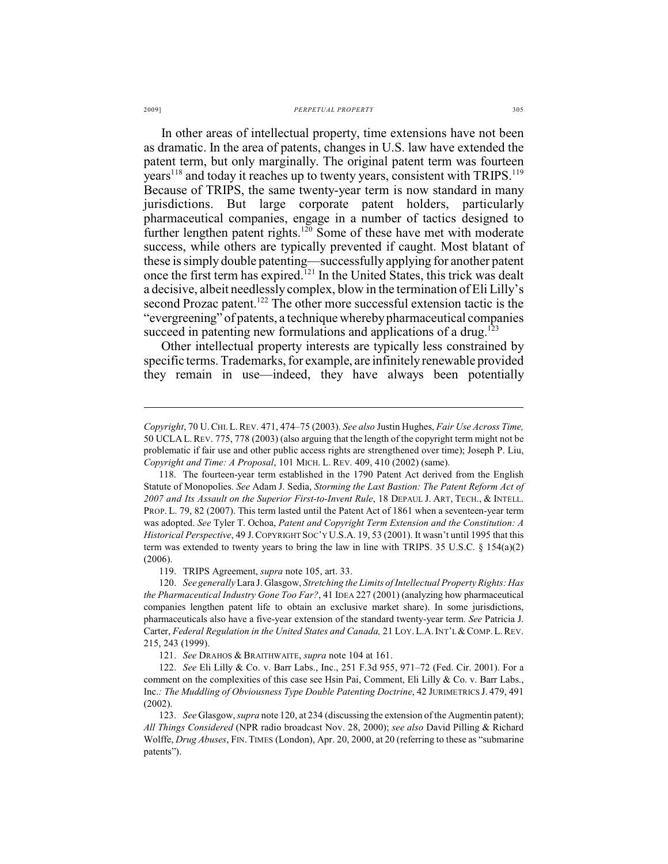#### 2009] *PERPETUAL PROPERTY* 305

In other areas of intellectual property, time extensions have not been as dramatic. In the area of patents, changes in U.S. law have extended the patent term, but only marginally. The original patent term was fourteen years<sup> $118$ </sup> and today it reaches up to twenty years, consistent with TRIPS.  $119$ Because of TRIPS, the same twenty-year term is now standard in many jurisdictions. But large corporate patent holders, particularly pharmaceutical companies, engage in a number of tactics designed to further lengthen patent rights.<sup>120</sup> Some of these have met with moderate success, while others are typically prevented if caught. Most blatant of these is simply double patenting—successfully applying for another patent once the first term has expired.<sup>121</sup> In the United States, this trick was dealt a decisive, albeit needlessly complex, blow in the termination of Eli Lilly's second Prozac patent.<sup>122</sup> The other more successful extension tactic is the "evergreening" of patents, a technique whereby pharmaceutical companies succeed in patenting new formulations and applications of a drug.<sup>123</sup>

Other intellectual property interests are typically less constrained by specific terms. Trademarks, for example, are infinitely renewable provided they remain in use—indeed, they have always been potentially

119. TRIPS Agreement, *supra* note 105, art. 33.

*Copyright*, 70 U.CHI.L.REV. 471, 474–75 (2003). *See also* Justin Hughes, *Fair Use Across Time,* 50 UCLA L.REV. 775, 778 (2003) (also arguing that the length of the copyright term might not be problematic if fair use and other public access rights are strengthened over time); Joseph P. Liu, *Copyright and Time: A Proposal*, 101 MICH. L. REV. 409, 410 (2002) (same).

<sup>118.</sup> The fourteen-year term established in the 1790 Patent Act derived from the English Statute of Monopolies. *See* Adam J. Sedia, *Storming the Last Bastion: The Patent Reform Act of 2007 and Its Assault on the Superior First-to-Invent Rule*, 18 DEPAUL J. ART, TECH., & INTELL. PROP. L. 79, 82 (2007). This term lasted until the Patent Act of 1861 when a seventeen-year term was adopted. *See* Tyler T. Ochoa, *Patent and Copyright Term Extension and the Constitution: A Historical Perspective*, 49 J.COPYRIGHT SOC'Y U.S.A. 19, 53 (2001). It wasn't until 1995 that this term was extended to twenty years to bring the law in line with TRIPS. 35 U.S.C.  $\S$  154(a)(2) (2006).

<sup>120.</sup> *See generally*Lara J. Glasgow, *Stretching the Limits of Intellectual Property Rights: Has the Pharmaceutical Industry Gone Too Far?*, 41 IDEA 227 (2001) (analyzing how pharmaceutical companies lengthen patent life to obtain an exclusive market share). In some jurisdictions, pharmaceuticals also have a five-year extension of the standard twenty-year term. *See* Patricia J. Carter, *Federal Regulation in the United States and Canada,* 21 LOY.L.A.INT'L &COMP.L.REV. 215, 243 (1999).

<sup>121.</sup> *See* DRAHOS & BRAITHWAITE, *supra* note 104 at 161.

<sup>122.</sup> *See* Eli Lilly & Co. v. Barr Labs., Inc., 251 F.3d 955, 971–72 (Fed. Cir. 2001). For a comment on the complexities of this case see Hsin Pai, Comment, Eli Lilly & Co. v. Barr Labs., Inc.*: The Muddling of Obviousness Type Double Patenting Doctrine*, 42 JURIMETRICS J. 479, 491 (2002).

<sup>123.</sup> *See* Glasgow, *supra* note 120, at 234 (discussing the extension of the Augmentin patent); *All Things Considered* (NPR radio broadcast Nov. 28, 2000); *see also* David Pilling & Richard Wolffe, *Drug Abuses*, FIN. TIMES (London), Apr. 20, 2000, at 20 (referring to these as "submarine patents").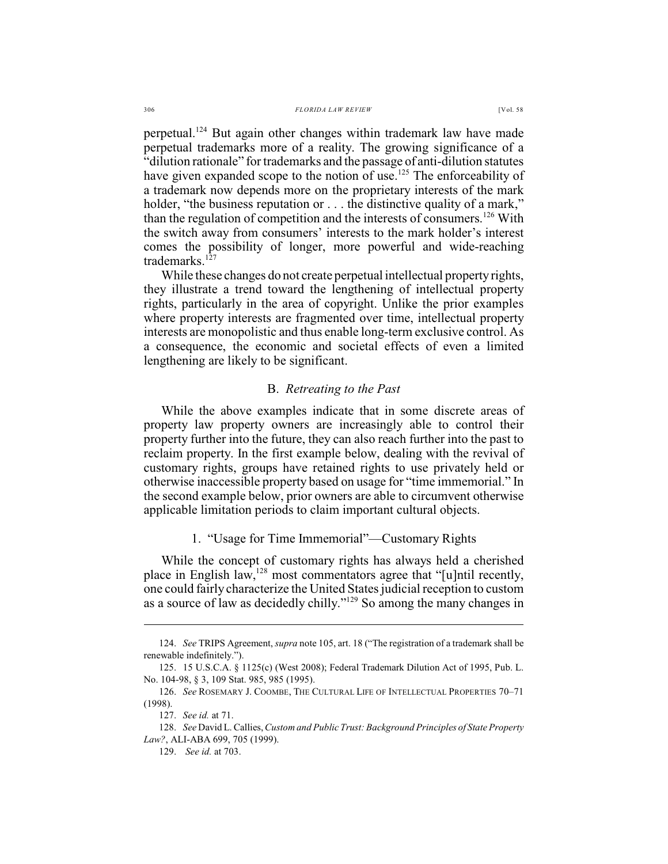perpetual.<sup>124</sup> But again other changes within trademark law have made perpetual trademarks more of a reality. The growing significance of a "dilution rationale" for trademarks and the passage of anti-dilution statutes have given expanded scope to the notion of use.<sup>125</sup> The enforceability of a trademark now depends more on the proprietary interests of the mark holder, "the business reputation or . . . the distinctive quality of a mark," than the regulation of competition and the interests of consumers.<sup>126</sup> With the switch away from consumers' interests to the mark holder's interest comes the possibility of longer, more powerful and wide-reaching trademarks.<sup>127</sup>

While these changes do not create perpetual intellectual property rights, they illustrate a trend toward the lengthening of intellectual property rights, particularly in the area of copyright. Unlike the prior examples where property interests are fragmented over time, intellectual property interests are monopolistic and thus enable long-term exclusive control. As a consequence, the economic and societal effects of even a limited lengthening are likely to be significant.

### B. *Retreating to the Past*

While the above examples indicate that in some discrete areas of property law property owners are increasingly able to control their property further into the future, they can also reach further into the past to reclaim property. In the first example below, dealing with the revival of customary rights, groups have retained rights to use privately held or otherwise inaccessible property based on usage for "time immemorial." In the second example below, prior owners are able to circumvent otherwise applicable limitation periods to claim important cultural objects.

#### 1. "Usage for Time Immemorial"—Customary Rights

While the concept of customary rights has always held a cherished place in English law, <sup>128</sup> most commentators agree that "[u]ntil recently, one could fairly characterize the United States judicial reception to custom as a source of law as decidedly chilly." $129$  So among the many changes in

<sup>124.</sup> *See* TRIPS Agreement, *supra* note 105, art. 18 ("The registration of a trademark shall be renewable indefinitely.").

<sup>125.</sup> 15 U.S.C.A. § 1125(c) (West 2008); Federal Trademark Dilution Act of 1995, Pub. L. No. 104-98, § 3, 109 Stat. 985, 985 (1995).

<sup>126.</sup> *See* ROSEMARY J. COOMBE, THE CULTURAL LIFE OF INTELLECTUAL PROPERTIES 70–71 (1998).

<sup>127.</sup> *See id.* at 71.

<sup>128.</sup> *See* David L. Callies,*Custom and Public Trust: Background Principles of State Property Law?*, ALI-ABA 699, 705 (1999).

<sup>129.</sup> *See id.* at 703.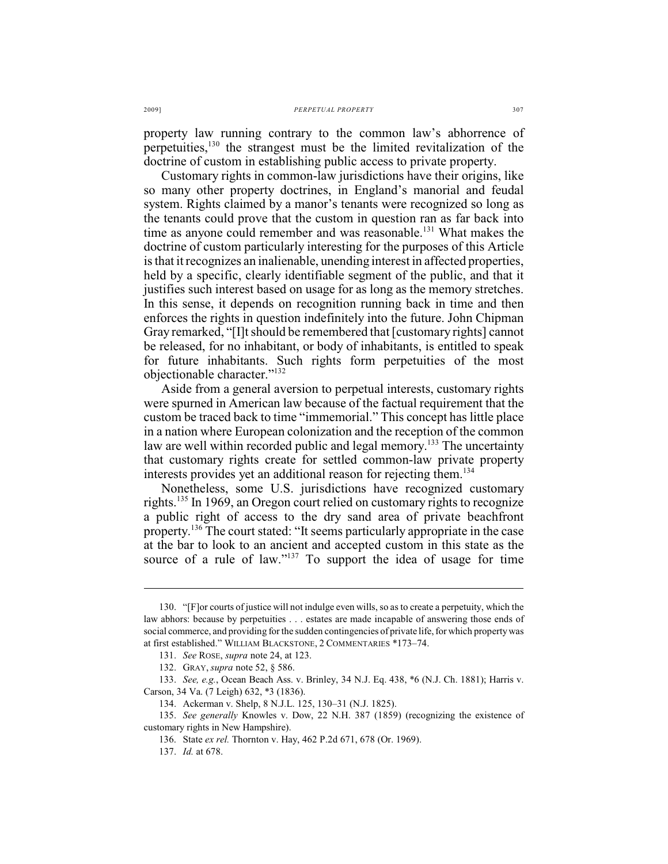property law running contrary to the common law's abhorrence of perpetuities,  $130$  the strangest must be the limited revitalization of the doctrine of custom in establishing public access to private property.

Customary rights in common-law jurisdictions have their origins, like so many other property doctrines, in England's manorial and feudal system. Rights claimed by a manor's tenants were recognized so long as the tenants could prove that the custom in question ran as far back into time as anyone could remember and was reasonable.<sup>131</sup> What makes the doctrine of custom particularly interesting for the purposes of this Article is that it recognizes an inalienable, unending interest in affected properties, held by a specific, clearly identifiable segment of the public, and that it justifies such interest based on usage for as long as the memory stretches. In this sense, it depends on recognition running back in time and then enforces the rights in question indefinitely into the future. John Chipman Gray remarked, "[I]t should be remembered that [customary rights] cannot be released, for no inhabitant, or body of inhabitants, is entitled to speak for future inhabitants. Such rights form perpetuities of the most objectionable character."<sup>132</sup>

Aside from a general aversion to perpetual interests, customary rights were spurned in American law because of the factual requirement that the custom be traced back to time "immemorial." This concept has little place in a nation where European colonization and the reception of the common law are well within recorded public and legal memory.<sup>133</sup> The uncertainty that customary rights create for settled common-law private property interests provides yet an additional reason for rejecting them.<sup>134</sup>

Nonetheless, some U.S. jurisdictions have recognized customary rights.<sup>135</sup> In 1969, an Oregon court relied on customary rights to recognize a public right of access to the dry sand area of private beachfront property.<sup>136</sup> The court stated: "It seems particularly appropriate in the case at the bar to look to an ancient and accepted custom in this state as the source of a rule of law." $137$  To support the idea of usage for time

<sup>130. &</sup>quot;[F]or courts of justice will not indulge even wills, so as to create a perpetuity, which the law abhors: because by perpetuities . . . estates are made incapable of answering those ends of social commerce, and providing for the sudden contingencies of private life, for which property was at first established." WILLIAM BLACKSTONE, 2 COMMENTARIES \*173–74.

<sup>131.</sup> *See* ROSE, *supra* note 24, at 123.

<sup>132.</sup> GRAY, *supra* note 52, § 586.

<sup>133.</sup> *See, e.g.*, Ocean Beach Ass. v. Brinley, 34 N.J. Eq. 438, \*6 (N.J. Ch. 1881); Harris v. Carson, 34 Va. (7 Leigh) 632, \*3 (1836).

<sup>134.</sup> Ackerman v. Shelp, 8 N.J.L. 125, 130–31 (N.J. 1825).

<sup>135.</sup> *See generally* Knowles v. Dow, 22 N.H. 387 (1859) (recognizing the existence of customary rights in New Hampshire).

<sup>136.</sup> State *ex rel.* Thornton v. Hay, 462 P.2d 671, 678 (Or. 1969).

<sup>137.</sup> *Id.* at 678.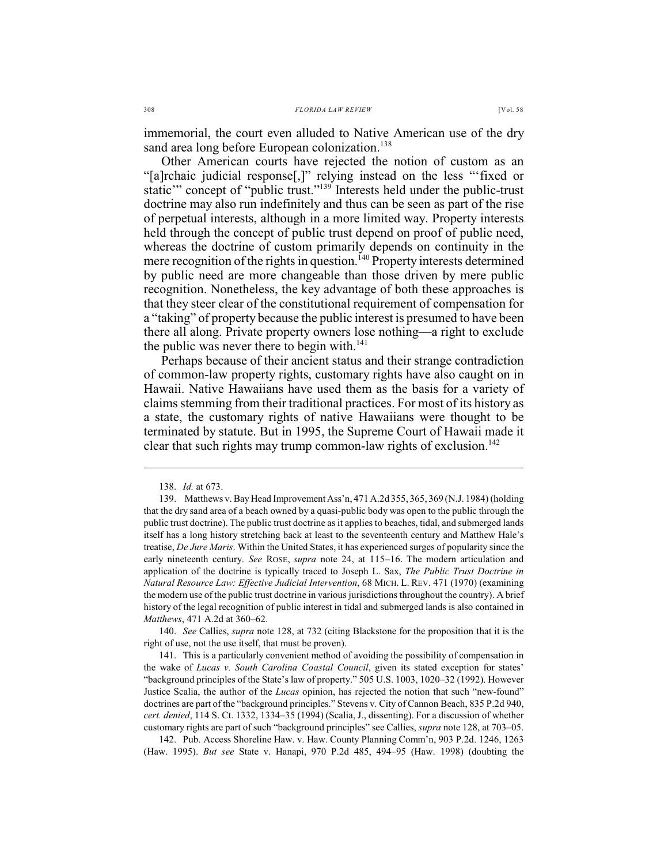immemorial, the court even alluded to Native American use of the dry sand area long before European colonization.<sup>138</sup>

Other American courts have rejected the notion of custom as an "[a]rchaic judicial response[,]" relying instead on the less "'fixed or static'" concept of "public trust."<sup>139</sup> Interests held under the public-trust doctrine may also run indefinitely and thus can be seen as part of the rise of perpetual interests, although in a more limited way. Property interests held through the concept of public trust depend on proof of public need, whereas the doctrine of custom primarily depends on continuity in the mere recognition of the rights in question.  $^{140}$  Property interests determined by public need are more changeable than those driven by mere public recognition. Nonetheless, the key advantage of both these approaches is that they steer clear of the constitutional requirement of compensation for a "taking" of property because the public interest is presumed to have been there all along. Private property owners lose nothing—a right to exclude the public was never there to begin with. $141$ 

Perhaps because of their ancient status and their strange contradiction of common-law property rights, customary rights have also caught on in Hawaii. Native Hawaiians have used them as the basis for a variety of claims stemming from their traditional practices. For most of its history as a state, the customary rights of native Hawaiians were thought to be terminated by statute. But in 1995, the Supreme Court of Hawaii made it clear that such rights may trump common-law rights of exclusion.<sup>142</sup>

140. *See* Callies, *supra* note 128, at 732 (citing Blackstone for the proposition that it is the right of use, not the use itself, that must be proven).

141. This is a particularly convenient method of avoiding the possibility of compensation in the wake of *Lucas v. South Carolina Coastal Council*, given its stated exception for states' "background principles of the State's law of property." 505 U.S. 1003, 1020–32 (1992). However Justice Scalia, the author of the *Lucas* opinion, has rejected the notion that such "new-found" doctrines are part of the "background principles." Stevens v. City of Cannon Beach, 835 P.2d 940, *cert. denied*, 114 S. Ct. 1332, 1334–35 (1994) (Scalia, J., dissenting). For a discussion of whether customary rights are part of such "background principles" see Callies, *supra* note 128, at 703–05.

142. Pub. Access Shoreline Haw. v. Haw. County Planning Comm'n, 903 P.2d. 1246, 1263 (Haw. 1995). *But see* State v. Hanapi, 970 P.2d 485, 494–95 (Haw. 1998) (doubting the

<sup>138.</sup> *Id.* at 673.

<sup>139.</sup> Matthews v. Bay Head ImprovementAss'n, 471 A.2d 355, 365, 369 (N.J. 1984) (holding that the dry sand area of a beach owned by a quasi-public body was open to the public through the public trust doctrine). The public trust doctrine as it applies to beaches, tidal, and submerged lands itself has a long history stretching back at least to the seventeenth century and Matthew Hale's treatise, *De Jure Maris*. Within the United States, it has experienced surges of popularity since the early nineteenth century. *See* ROSE, *supra* note 24, at 115–16. The modern articulation and application of the doctrine is typically traced to Joseph L. Sax, *The Public Trust Doctrine in Natural Resource Law: Effective Judicial Intervention*, 68 MICH. L. REV. 471 (1970) (examining the modern use of the public trust doctrine in various jurisdictions throughout the country). A brief history of the legal recognition of public interest in tidal and submerged lands is also contained in *Matthews*, 471 A.2d at 360–62.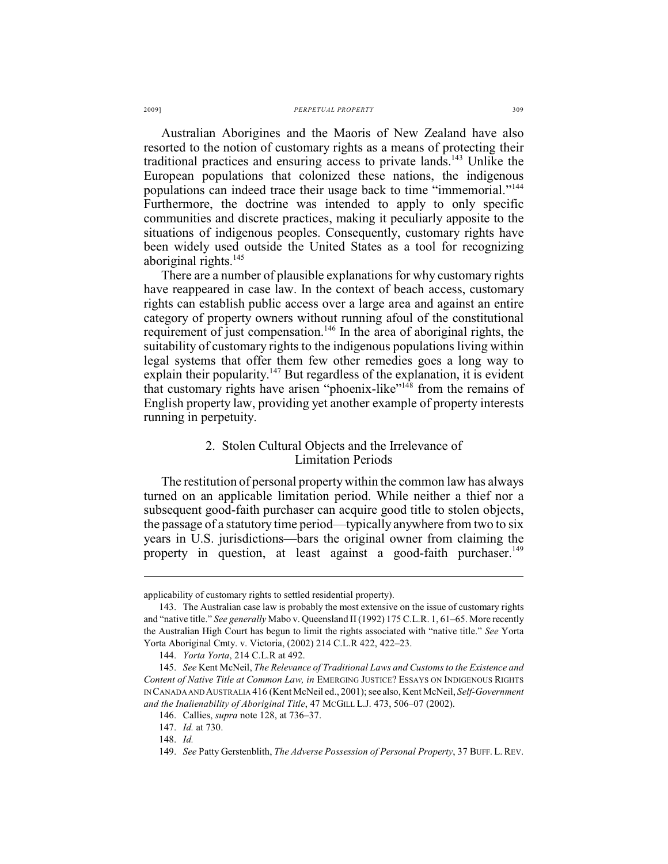Australian Aborigines and the Maoris of New Zealand have also resorted to the notion of customary rights as a means of protecting their traditional practices and ensuring access to private lands.<sup>143</sup> Unlike the European populations that colonized these nations, the indigenous populations can indeed trace their usage back to time "immemorial."<sup>144</sup> Furthermore, the doctrine was intended to apply to only specific communities and discrete practices, making it peculiarly apposite to the situations of indigenous peoples. Consequently, customary rights have been widely used outside the United States as a tool for recognizing aboriginal rights. 145

There are a number of plausible explanations for why customary rights have reappeared in case law. In the context of beach access, customary rights can establish public access over a large area and against an entire category of property owners without running afoul of the constitutional requirement of just compensation.<sup>146</sup> In the area of aboriginal rights, the suitability of customary rights to the indigenous populations living within legal systems that offer them few other remedies goes a long way to explain their popularity.<sup>147</sup> But regardless of the explanation, it is evident that customary rights have arisen "phoenix-like"<sup>148</sup> from the remains of English property law, providing yet another example of property interests running in perpetuity.

## 2. Stolen Cultural Objects and the Irrelevance of Limitation Periods

The restitution of personal property within the common law has always turned on an applicable limitation period. While neither a thief nor a subsequent good-faith purchaser can acquire good title to stolen objects, the passage of a statutory time period—typically anywhere from two to six years in U.S. jurisdictions—bars the original owner from claiming the property in question, at least against a good-faith purchaser.<sup>149</sup>

applicability of customary rights to settled residential property).

<sup>143.</sup> The Australian case law is probably the most extensive on the issue of customary rights and "native title." *See generally* Mabo v. Queensland II (1992) 175 C.L.R. 1, 61–65. More recently the Australian High Court has begun to limit the rights associated with "native title." *See* Yorta Yorta Aboriginal Cmty. v. Victoria, (2002) 214 C.L.R 422, 422–23.

<sup>144.</sup> *Yorta Yorta*, 214 C.L.R at 492.

<sup>145.</sup> *See* Kent McNeil, *The Relevance of Traditional Laws and Customs to the Existence and Content of Native Title at Common Law, in* EMERGING JUSTICE? ESSAYS ON INDIGENOUS RIGHTS IN CANADA AND AUSTRALIA 416 (Kent McNeil ed., 2001); see also, Kent McNeil, *Self-Government and the Inalienability of Aboriginal Title*, 47 MCGILL L.J. 473, 506–07 (2002).

<sup>146.</sup> Callies, *supra* note 128, at 736–37.

<sup>147.</sup> *Id.* at 730.

<sup>148.</sup> *Id.*

<sup>149.</sup> *See* Patty Gerstenblith, *The Adverse Possession of Personal Property*, 37 BUFF. L. REV.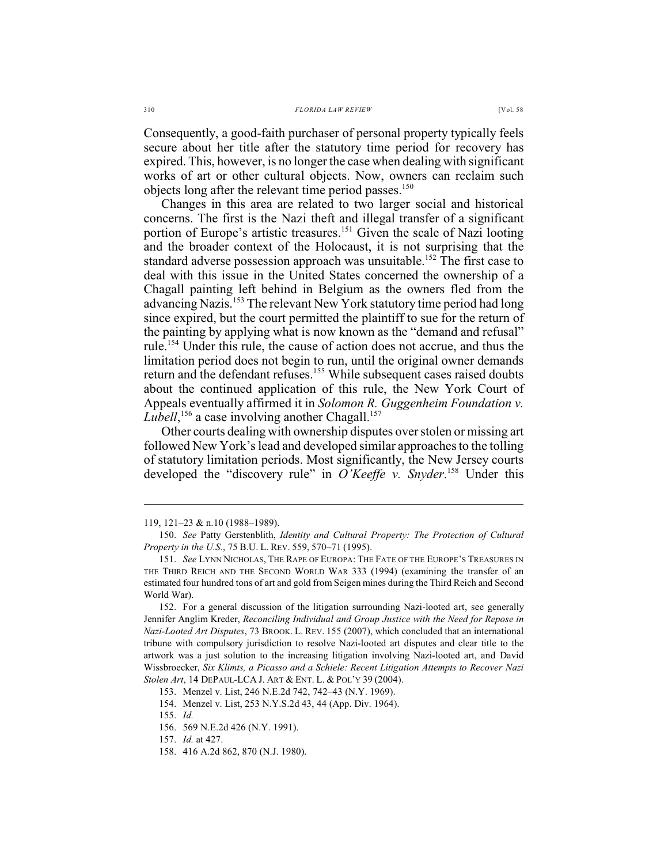Consequently, a good-faith purchaser of personal property typically feels secure about her title after the statutory time period for recovery has expired. This, however, is no longer the case when dealing with significant works of art or other cultural objects. Now, owners can reclaim such objects long after the relevant time period passes.<sup>150</sup>

Changes in this area are related to two larger social and historical concerns. The first is the Nazi theft and illegal transfer of a significant portion of Europe's artistic treasures.<sup>151</sup> Given the scale of Nazi looting and the broader context of the Holocaust, it is not surprising that the standard adverse possession approach was unsuitable.<sup>152</sup> The first case to deal with this issue in the United States concerned the ownership of a Chagall painting left behind in Belgium as the owners fled from the advancing Nazis.<sup>153</sup> The relevant New York statutory time period had long since expired, but the court permitted the plaintiff to sue for the return of the painting by applying what is now known as the "demand and refusal" rule.<sup>154</sup> Under this rule, the cause of action does not accrue, and thus the limitation period does not begin to run, until the original owner demands return and the defendant refuses.<sup>155</sup> While subsequent cases raised doubts about the continued application of this rule, the New York Court of Appeals eventually affirmed it in *Solomon R. Guggenheim Foundation v. Lubell*,<sup>156</sup> a case involving another Chagall.<sup>157</sup>

Other courts dealing with ownership disputes overstolen or missing art followed New York's lead and developed similar approaches to the tolling of statutory limitation periods. Most significantly, the New Jersey courts developed the "discovery rule" in *O'Keeffe v. Snyder*.<sup>158</sup> Under this

<sup>119, 121–23 &</sup>amp; n.10 (1988–1989).

<sup>150.</sup> *See* Patty Gerstenblith, *Identity and Cultural Property: The Protection of Cultural Property in the U.S.*, 75 B.U. L. REV. 559, 570–71 (1995).

<sup>151.</sup> *See* LYNN NICHOLAS, THE RAPE OF EUROPA: THE FATE OF THE EUROPE'S TREASURES IN THE THIRD REICH AND THE SECOND WORLD WAR 333 (1994) (examining the transfer of an estimated four hundred tons of art and gold from Seigen mines during the Third Reich and Second World War).

<sup>152.</sup> For a general discussion of the litigation surrounding Nazi-looted art, see generally Jennifer Anglim Kreder, *Reconciling Individual and Group Justice with the Need for Repose in Nazi-Looted Art Disputes*, 73 BROOK. L. REV. 155 (2007), which concluded that an international tribune with compulsory jurisdiction to resolve Nazi-looted art disputes and clear title to the artwork was a just solution to the increasing litigation involving Nazi-looted art, and David Wissbroecker, *Six Klimts, a Picasso and a Schiele: Recent Litigation Attempts to Recover Nazi Stolen Art*, 14 DEPAUL-LCA J. ART & ENT. L. & POL'Y 39 (2004).

<sup>153.</sup> Menzel v. List, 246 N.E.2d 742, 742–43 (N.Y. 1969).

<sup>154.</sup> Menzel v. List, 253 N.Y.S.2d 43, 44 (App. Div. 1964).

<sup>155.</sup> *Id.*

<sup>156.</sup> 569 N.E.2d 426 (N.Y. 1991).

<sup>157.</sup> *Id.* at 427.

<sup>158.</sup> 416 A.2d 862, 870 (N.J. 1980).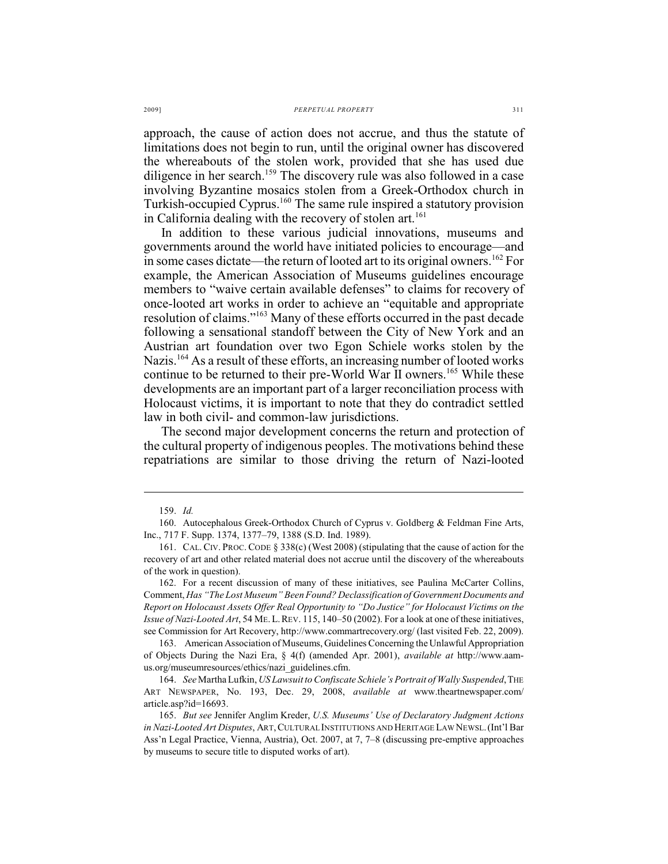approach, the cause of action does not accrue, and thus the statute of limitations does not begin to run, until the original owner has discovered the whereabouts of the stolen work, provided that she has used due diligence in her search.<sup>159</sup> The discovery rule was also followed in a case involving Byzantine mosaics stolen from a Greek-Orthodox church in Turkish-occupied Cyprus.<sup>160</sup> The same rule inspired a statutory provision in California dealing with the recovery of stolen art.<sup>161</sup>

In addition to these various judicial innovations, museums and governments around the world have initiated policies to encourage—and in some cases dictate—the return of looted art to its original owners.  $^{162}$  For example, the American Association of Museums guidelines encourage members to "waive certain available defenses" to claims for recovery of once-looted art works in order to achieve an "equitable and appropriate resolution of claims."<sup>163</sup> Many of these efforts occurred in the past decade following a sensational standoff between the City of New York and an Austrian art foundation over two Egon Schiele works stolen by the Nazis.  $164$  As a result of these efforts, an increasing number of looted works continue to be returned to their pre-World War II owners.<sup>165</sup> While these developments are an important part of a larger reconciliation process with Holocaust victims, it is important to note that they do contradict settled law in both civil- and common-law jurisdictions.

The second major development concerns the return and protection of the cultural property of indigenous peoples. The motivations behind these repatriations are similar to those driving the return of Nazi-looted

<sup>159.</sup> *Id.*

<sup>160.</sup> Autocephalous Greek-Orthodox Church of Cyprus v. Goldberg & Feldman Fine Arts, Inc., 717 F. Supp. 1374, 1377–79, 1388 (S.D. Ind. 1989).

<sup>161.</sup> CAL. CIV. PROC. CODE § 338(c) (West 2008) (stipulating that the cause of action for the recovery of art and other related material does not accrue until the discovery of the whereabouts of the work in question).

<sup>162.</sup> For a recent discussion of many of these initiatives, see Paulina McCarter Collins, Comment, *Has "The Lost Museum" Been Found? Declassification of Government Documents and Report on Holocaust Assets Offer Real Opportunity to "Do Justice" for Holocaust Victims on the Issue of Nazi-Looted Art*, 54 ME.L.REV. 115, 140–50 (2002). For a look at one of these initiatives, see Commission for Art Recovery, http://www.commartrecovery.org/ (last visited Feb. 22, 2009).

<sup>163.</sup> American Association of Museums, Guidelines Concerning the Unlawful Appropriation of Objects During the Nazi Era, § 4(f) (amended Apr. 2001), *available at* http://www.aamus.org/museumresources/ethics/nazi\_guidelines.cfm.

<sup>164.</sup> *See* Martha Lufkin, *US Lawsuit to Confiscate Schiele's Portrait of Wally Suspended*,THE ART NEWSPAPER, No. 193, Dec. 29, 2008, *available at* [www.theartnewspaper.com/](http://www.theartnewspaper.com/) article.asp?id=16693.

<sup>165.</sup> *But see* Jennifer Anglim Kreder, *U.S. Museums' Use of Declaratory Judgment Actions in Nazi-Looted Art Disputes*, ART,CULTURAL INSTITUTIONS AND HERITAGE LAW NEWSL.(Int'l Bar Ass'n Legal Practice, Vienna, Austria), Oct. 2007, at 7, 7–8 (discussing pre-emptive approaches by museums to secure title to disputed works of art).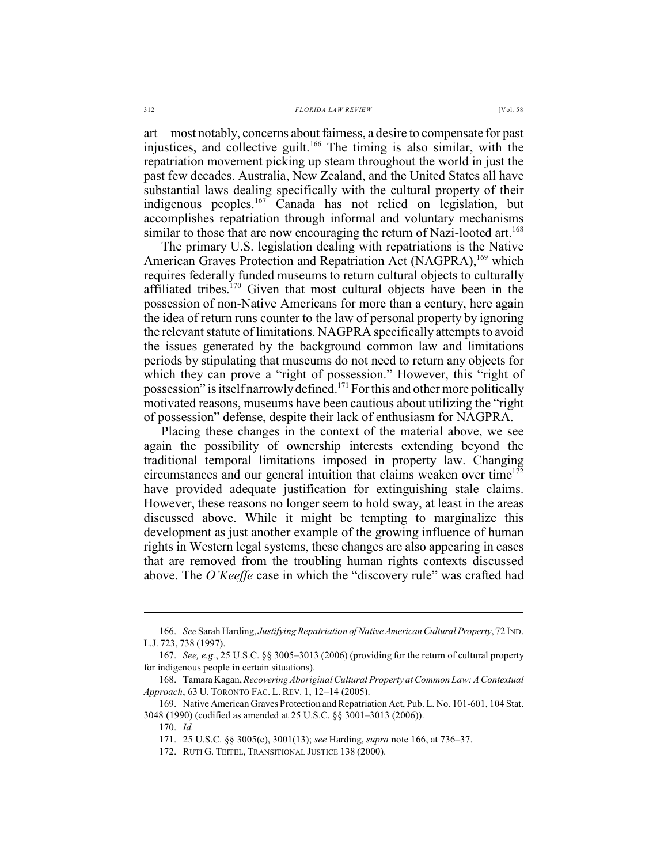art—most notably, concerns about fairness, a desire to compensate for past injustices, and collective guilt.<sup>166</sup> The timing is also similar, with the repatriation movement picking up steam throughout the world in just the past few decades. Australia, New Zealand, and the United States all have substantial laws dealing specifically with the cultural property of their indigenous peoples.<sup>167</sup> Canada has not relied on legislation, but accomplishes repatriation through informal and voluntary mechanisms similar to those that are now encouraging the return of Nazi-looted art.<sup>168</sup>

The primary U.S. legislation dealing with repatriations is the Native American Graves Protection and Repatriation Act (NAGPRA), <sup>169</sup> which requires federally funded museums to return cultural objects to culturally affiliated tribes.<sup>170</sup> Given that most cultural objects have been in the possession of non-Native Americans for more than a century, here again the idea of return runs counter to the law of personal property by ignoring the relevant statute of limitations. NAGPRA specifically attempts to avoid the issues generated by the background common law and limitations periods by stipulating that museums do not need to return any objects for which they can prove a "right of possession." However, this "right of possession" is itself narrowly defined.<sup>171</sup> For this and other more politically motivated reasons, museums have been cautious about utilizing the "right of possession" defense, despite their lack of enthusiasm for NAGPRA.

Placing these changes in the context of the material above, we see again the possibility of ownership interests extending beyond the traditional temporal limitations imposed in property law. Changing circumstances and our general intuition that claims weaken over time<sup>172</sup> have provided adequate justification for extinguishing stale claims. However, these reasons no longer seem to hold sway, at least in the areas discussed above. While it might be tempting to marginalize this development as just another example of the growing influence of human rights in Western legal systems, these changes are also appearing in cases that are removed from the troubling human rights contexts discussed above. The *O'Keeffe* case in which the "discovery rule" was crafted had

<sup>166.</sup> *See* Sarah Harding, *Justifying Repatriation of Native American Cultural Property*, 72 IND. L.J. 723, 738 (1997).

<sup>167.</sup> *See, e.g.*, 25 U.S.C. §§ 3005–3013 (2006) (providing for the return of cultural property for indigenous people in certain situations).

<sup>168.</sup> Tamara Kagan,*Recovering Aboriginal Cultural Property at Common Law: A Contextual Approach*, 63 U. TORONTO FAC. L. REV. 1, 12–14 (2005).

<sup>169.</sup> Native American Graves Protection and Repatriation Act, Pub. L. No. 101-601, 104 Stat. 3048 (1990) (codified as amended at 25 U.S.C. §§ 3001–3013 (2006)).

<sup>170.</sup> *Id.*

<sup>171.</sup> 25 U.S.C. §§ 3005(c), 3001(13); *see* Harding, *supra* note 166, at 736–37.

<sup>172.</sup> RUTI G. TEITEL, TRANSITIONAL JUSTICE 138 (2000).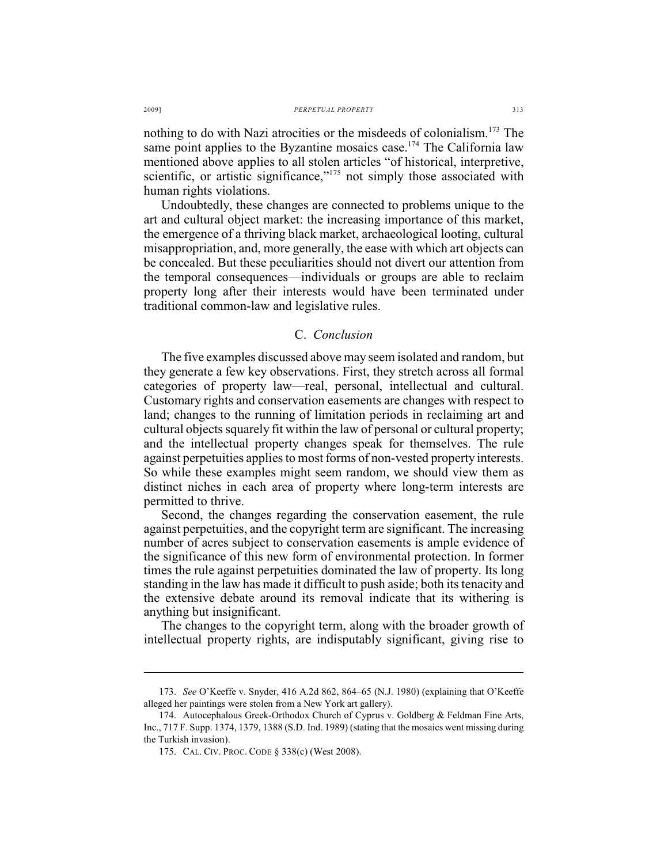nothing to do with Nazi atrocities or the misdeeds of colonialism.<sup>173</sup> The same point applies to the Byzantine mosaics case.<sup>174</sup> The California law mentioned above applies to all stolen articles "of historical, interpretive, scientific, or artistic significance," $175$  not simply those associated with human rights violations.

Undoubtedly, these changes are connected to problems unique to the art and cultural object market: the increasing importance of this market, the emergence of a thriving black market, archaeological looting, cultural misappropriation, and, more generally, the ease with which art objects can be concealed. But these peculiarities should not divert our attention from the temporal consequences—individuals or groups are able to reclaim property long after their interests would have been terminated under traditional common-law and legislative rules.

## C. *Conclusion*

The five examples discussed above may seem isolated and random, but they generate a few key observations. First, they stretch across all formal categories of property law—real, personal, intellectual and cultural. Customary rights and conservation easements are changes with respect to land; changes to the running of limitation periods in reclaiming art and cultural objects squarely fit within the law of personal or cultural property; and the intellectual property changes speak for themselves. The rule against perpetuities applies to most forms of non-vested property interests. So while these examples might seem random, we should view them as distinct niches in each area of property where long-term interests are permitted to thrive.

Second, the changes regarding the conservation easement, the rule against perpetuities, and the copyright term are significant. The increasing number of acres subject to conservation easements is ample evidence of the significance of this new form of environmental protection. In former times the rule against perpetuities dominated the law of property. Its long standing in the law has made it difficult to push aside; both its tenacity and the extensive debate around its removal indicate that its withering is anything but insignificant.

The changes to the copyright term, along with the broader growth of intellectual property rights, are indisputably significant, giving rise to

<sup>173.</sup> *See* O'Keeffe v. Snyder, 416 A.2d 862, 864–65 (N.J. 1980) (explaining that O'Keeffe alleged her paintings were stolen from a New York art gallery).

<sup>174.</sup> Autocephalous Greek-Orthodox Church of Cyprus v. Goldberg & Feldman Fine Arts, Inc., 717 F. Supp. 1374, 1379, 1388 (S.D. Ind. 1989) (stating that the mosaics went missing during the Turkish invasion).

<sup>175.</sup> CAL. CIV. PROC. CODE § 338(c) (West 2008).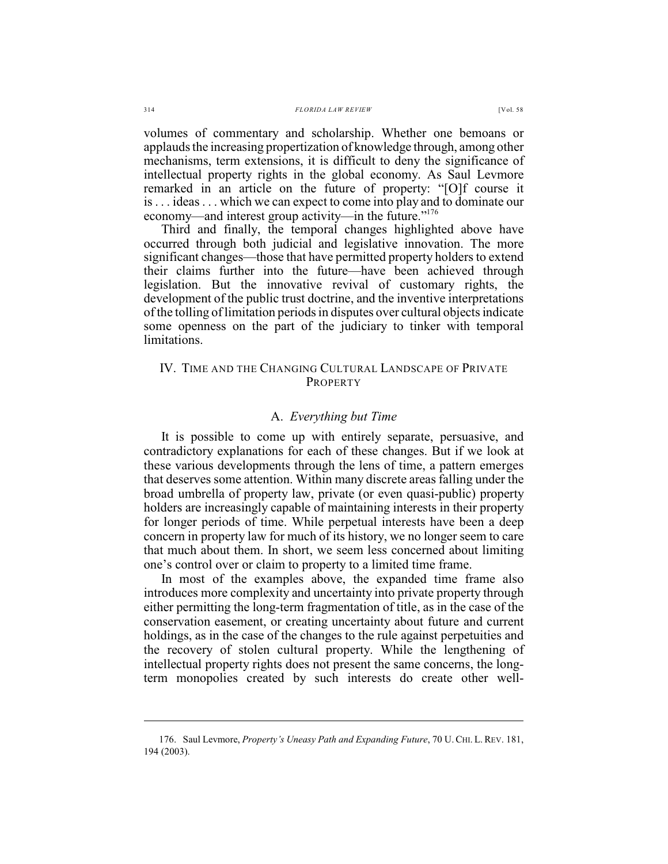volumes of commentary and scholarship. Whether one bemoans or applauds the increasing propertization of knowledge through, among other mechanisms, term extensions, it is difficult to deny the significance of intellectual property rights in the global economy. As Saul Levmore remarked in an article on the future of property: "[O]f course it is . . . ideas . . . which we can expect to come into play and to dominate our economy—and interest group activity—in the future."<sup>176</sup>

Third and finally, the temporal changes highlighted above have occurred through both judicial and legislative innovation. The more significant changes—those that have permitted property holders to extend their claims further into the future—have been achieved through legislation. But the innovative revival of customary rights, the development of the public trust doctrine, and the inventive interpretations ofthe tolling oflimitation periods in disputes over cultural objects indicate some openness on the part of the judiciary to tinker with temporal limitations.

## IV. TIME AND THE CHANGING CULTURAL LANDSCAPE OF PRIVATE PROPERTY

#### A. *Everything but Time*

It is possible to come up with entirely separate, persuasive, and contradictory explanations for each of these changes. But if we look at these various developments through the lens of time, a pattern emerges that deserves some attention. Within many discrete areas falling under the broad umbrella of property law, private (or even quasi-public) property holders are increasingly capable of maintaining interests in their property for longer periods of time. While perpetual interests have been a deep concern in property law for much of its history, we no longer seem to care that much about them. In short, we seem less concerned about limiting one's control over or claim to property to a limited time frame.

In most of the examples above, the expanded time frame also introduces more complexity and uncertainty into private property through either permitting the long-term fragmentation of title, as in the case of the conservation easement, or creating uncertainty about future and current holdings, as in the case of the changes to the rule against perpetuities and the recovery of stolen cultural property. While the lengthening of intellectual property rights does not present the same concerns, the longterm monopolies created by such interests do create other well-

<sup>176.</sup> Saul Levmore, *Property's Uneasy Path and Expanding Future*, 70 U.CHI. L. REV. 181, 194 (2003).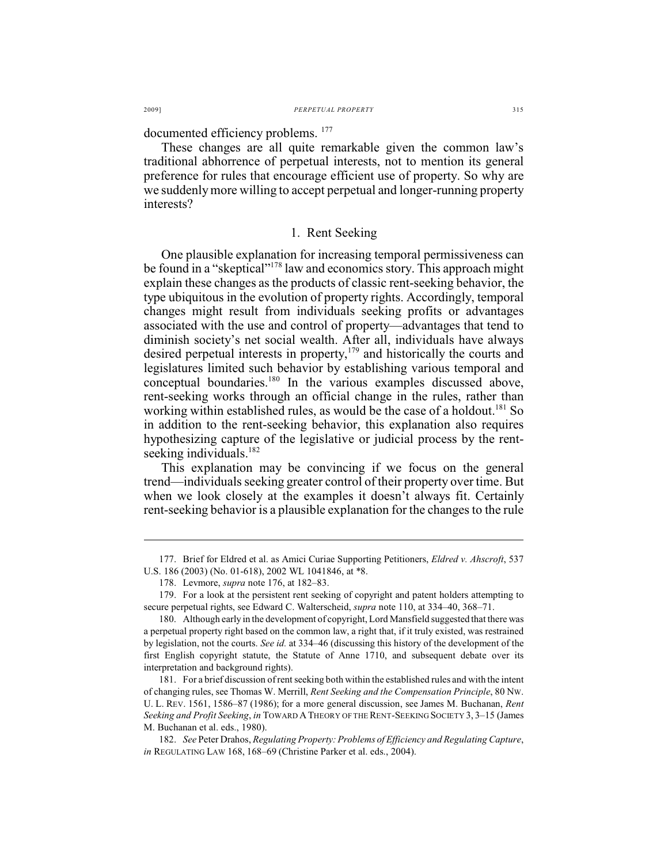documented efficiency problems. <sup>177</sup>

These changes are all quite remarkable given the common law's traditional abhorrence of perpetual interests, not to mention its general preference for rules that encourage efficient use of property. So why are we suddenly more willing to accept perpetual and longer-running property interests?

#### 1. Rent Seeking

One plausible explanation for increasing temporal permissiveness can be found in a "skeptical"<sup>178</sup> law and economics story. This approach might explain these changes as the products of classic rent-seeking behavior, the type ubiquitous in the evolution of property rights. Accordingly, temporal changes might result from individuals seeking profits or advantages associated with the use and control of property—advantages that tend to diminish society's net social wealth. After all, individuals have always desired perpetual interests in property, $179$  and historically the courts and legislatures limited such behavior by establishing various temporal and conceptual boundaries.<sup>180</sup> In the various examples discussed above, rent-seeking works through an official change in the rules, rather than working within established rules, as would be the case of a holdout.<sup>181</sup> So in addition to the rent-seeking behavior, this explanation also requires hypothesizing capture of the legislative or judicial process by the rentseeking individuals.<sup>182</sup>

This explanation may be convincing if we focus on the general trend—individuals seeking greater control of their property over time. But when we look closely at the examples it doesn't always fit. Certainly rent-seeking behavior is a plausible explanation for the changes to the rule

<sup>177.</sup> Brief for Eldred et al. as Amici Curiae Supporting Petitioners, *Eldred v. Ahscroft*, 537 U.S. 186 (2003) (No. 01-618), 2002 WL 1041846, at \*8.

<sup>178.</sup> Levmore, *supra* note 176, at 182–83.

<sup>179.</sup> For a look at the persistent rent seeking of copyright and patent holders attempting to secure perpetual rights, see Edward C. Walterscheid, *supra* note 110, at 334–40, 368–71.

<sup>180.</sup> Although early in the development of copyright, Lord Mansfield suggested that there was a perpetual property right based on the common law, a right that, if it truly existed, was restrained by legislation, not the courts. *See id.* at 334–46 (discussing this history of the development of the first English copyright statute, the Statute of Anne 1710, and subsequent debate over its interpretation and background rights).

<sup>181.</sup> For a brief discussion of rent seeking both within the established rules and with the intent of changing rules, see Thomas W. Merrill, *Rent Seeking and the Compensation Principle*, 80 NW. U. L. REV. 1561, 1586–87 (1986); for a more general discussion, see James M. Buchanan, *Rent Seeking and Profit Seeking*, *in* TOWARD ATHEORY OF THE RENT-SEEKING SOCIETY 3, 3–15 (James M. Buchanan et al. eds., 1980).

<sup>182.</sup> *See* Peter Drahos, *Regulating Property: Problems of Efficiency and Regulating Capture*, *in* REGULATING LAW 168, 168–69 (Christine Parker et al. eds., 2004).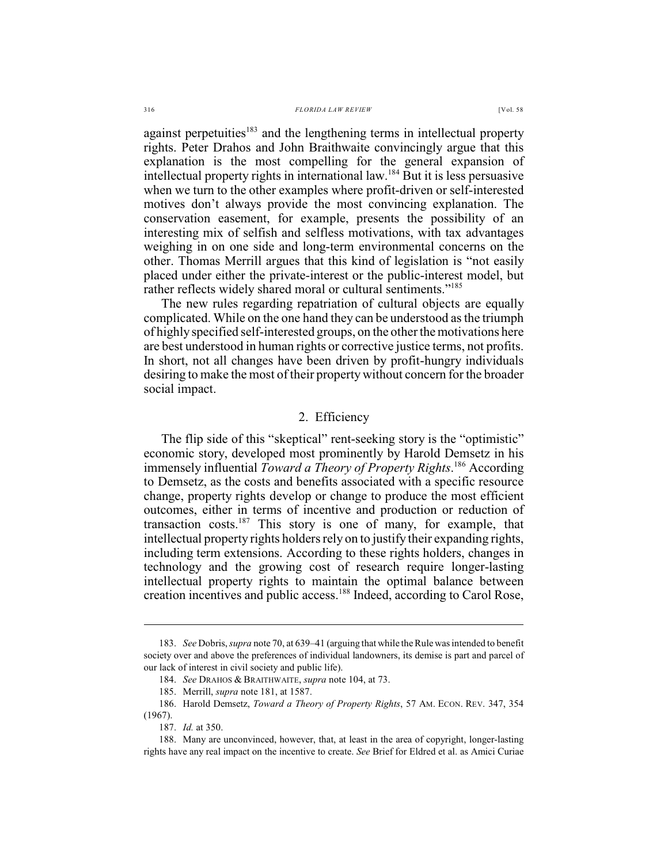#### 316 *FLORIDA LAW REVIEW* [Vol. 58

against perpetuities<sup>183</sup> and the lengthening terms in intellectual property rights. Peter Drahos and John Braithwaite convincingly argue that this explanation is the most compelling for the general expansion of intellectual property rights in international law.<sup>184</sup> But it is less persuasive when we turn to the other examples where profit-driven or self-interested motives don't always provide the most convincing explanation. The conservation easement, for example, presents the possibility of an interesting mix of selfish and selfless motivations, with tax advantages weighing in on one side and long-term environmental concerns on the other. Thomas Merrill argues that this kind of legislation is "not easily placed under either the private-interest or the public-interest model, but rather reflects widely shared moral or cultural sentiments."<sup>185</sup>

The new rules regarding repatriation of cultural objects are equally complicated. While on the one hand they can be understood as the triumph of highly specified self-interested groups, on the other the motivations here are best understood in human rights or corrective justice terms, not profits. In short, not all changes have been driven by profit-hungry individuals desiring to make the most of their property without concern for the broader social impact.

## 2. Efficiency

The flip side of this "skeptical" rent-seeking story is the "optimistic" economic story, developed most prominently by Harold Demsetz in his immensely influential *Toward a Theory of Property Rights*.<sup>186</sup> According to Demsetz, as the costs and benefits associated with a specific resource change, property rights develop or change to produce the most efficient outcomes, either in terms of incentive and production or reduction of transaction costs.  $187$  This story is one of many, for example, that intellectual property rights holders rely on to justify their expanding rights, including term extensions. According to these rights holders, changes in technology and the growing cost of research require longer-lasting intellectual property rights to maintain the optimal balance between creation incentives and public access.<sup>188</sup> Indeed, according to Carol Rose,

<sup>183.</sup> *See* Dobris, *supra* note 70, at 639–41 (arguing that while theRule wasintended to benefit society over and above the preferences of individual landowners, its demise is part and parcel of our lack of interest in civil society and public life).

<sup>184.</sup> *See* DRAHOS & BRAITHWAITE, *supra* note 104, at 73.

<sup>185.</sup> Merrill, *supra* note 181, at 1587.

<sup>186.</sup> Harold Demsetz, *Toward a Theory of Property Rights*, 57 AM. ECON. REV. 347, 354 (1967).

<sup>187.</sup> *Id.* at 350.

<sup>188.</sup> Many are unconvinced, however, that, at least in the area of copyright, longer-lasting rights have any real impact on the incentive to create. *See* Brief for Eldred et al. as Amici Curiae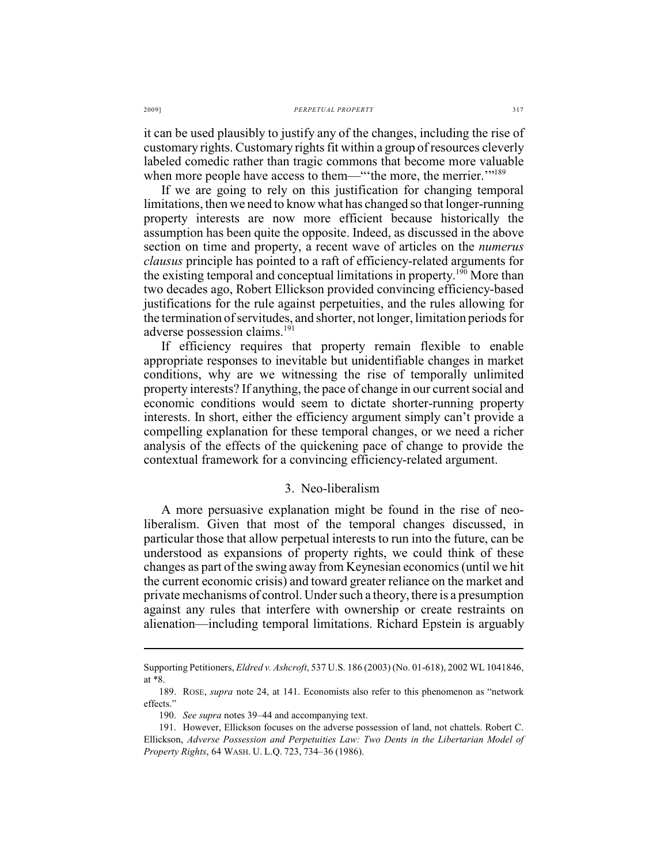it can be used plausibly to justify any of the changes, including the rise of customary rights. Customary rights fit within a group of resources cleverly labeled comedic rather than tragic commons that become more valuable when more people have access to them—" the more, the merrier."<sup>189</sup>

If we are going to rely on this justification for changing temporal limitations, then we need to know what has changed so that longer-running property interests are now more efficient because historically the assumption has been quite the opposite. Indeed, as discussed in the above section on time and property, a recent wave of articles on the *numerus clausus* principle has pointed to a raft of efficiency-related arguments for the existing temporal and conceptual limitations in property.  $190$  More than two decades ago, Robert Ellickson provided convincing efficiency-based justifications for the rule against perpetuities, and the rules allowing for the termination of servitudes, and shorter, not longer, limitation periods for adverse possession claims. 191

If efficiency requires that property remain flexible to enable appropriate responses to inevitable but unidentifiable changes in market conditions, why are we witnessing the rise of temporally unlimited property interests? If anything, the pace of change in our current social and economic conditions would seem to dictate shorter-running property interests. In short, either the efficiency argument simply can't provide a compelling explanation for these temporal changes, or we need a richer analysis of the effects of the quickening pace of change to provide the contextual framework for a convincing efficiency-related argument.

## 3. Neo-liberalism

A more persuasive explanation might be found in the rise of neoliberalism. Given that most of the temporal changes discussed, in particular those that allow perpetual interests to run into the future, can be understood as expansions of property rights, we could think of these changes as part of the swing away from Keynesian economics (until we hit the current economic crisis) and toward greater reliance on the market and private mechanisms of control. Undersuch a theory, there is a presumption against any rules that interfere with ownership or create restraints on alienation—including temporal limitations. Richard Epstein is arguably

Supporting Petitioners, *Eldred v. Ashcroft*, 537 U.S. 186 (2003) (No. 01-618), 2002 WL 1041846, at \*8.

<sup>189.</sup> ROSE, *supra* note 24, at 141. Economists also refer to this phenomenon as "network effects."

<sup>190.</sup> *See supra* notes 39–44 and accompanying text.

<sup>191.</sup> However, Ellickson focuses on the adverse possession of land, not chattels. Robert C. Ellickson, *Adverse Possession and Perpetuities Law: Two Dents in the Libertarian Model of Property Rights*, 64 WASH. U. L.Q. 723, 734–36 (1986).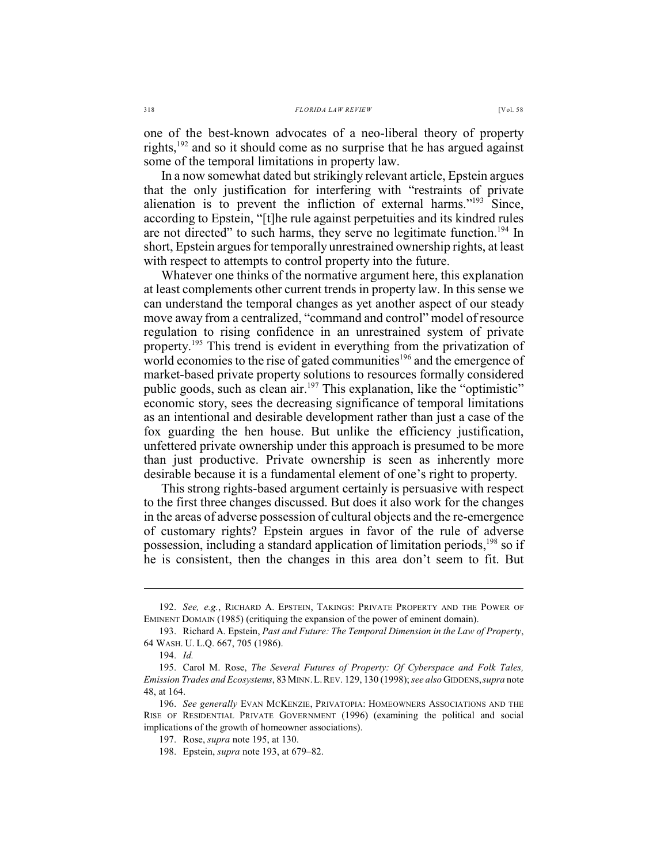one of the best-known advocates of a neo-liberal theory of property rights,  $192$  and so it should come as no surprise that he has argued against some of the temporal limitations in property law.

In a now somewhat dated but strikingly relevant article, Epstein argues that the only justification for interfering with "restraints of private alienation is to prevent the infliction of external harms." $193$  Since, according to Epstein, "[t]he rule against perpetuities and its kindred rules are not directed" to such harms, they serve no legitimate function.<sup>194</sup> In short, Epstein argues for temporally unrestrained ownership rights, at least with respect to attempts to control property into the future.

Whatever one thinks of the normative argument here, this explanation at least complements other current trends in property law. In this sense we can understand the temporal changes as yet another aspect of our steady move away from a centralized, "command and control" model of resource regulation to rising confidence in an unrestrained system of private property.<sup>195</sup> This trend is evident in everything from the privatization of world economies to the rise of gated communities $196$  and the emergence of market-based private property solutions to resources formally considered public goods, such as clean air. $197$  This explanation, like the "optimistic" economic story, sees the decreasing significance of temporal limitations as an intentional and desirable development rather than just a case of the fox guarding the hen house. But unlike the efficiency justification, unfettered private ownership under this approach is presumed to be more than just productive. Private ownership is seen as inherently more desirable because it is a fundamental element of one's right to property.

This strong rights-based argument certainly is persuasive with respect to the first three changes discussed. But does it also work for the changes in the areas of adverse possession of cultural objects and the re-emergence of customary rights? Epstein argues in favor of the rule of adverse possession, including a standard application of limitation periods,  $^{198}$  so if he is consistent, then the changes in this area don't seem to fit. But

<sup>192.</sup> *See, e.g.*, RICHARD A. EPSTEIN, TAKINGS: PRIVATE PROPERTY AND THE POWER OF EMINENT DOMAIN (1985) (critiquing the expansion of the power of eminent domain).

<sup>193.</sup> Richard A. Epstein, *Past and Future: The Temporal Dimension in the Law of Property*, 64 WASH. U. L.Q. 667, 705 (1986).

<sup>194.</sup> *Id.*

<sup>195.</sup> Carol M. Rose, *The Several Futures of Property: Of Cyberspace and Folk Tales, Emission Trades and Ecosystems*, 83MINN.L.REV. 129, 130 (1998); *see also* GIDDENS,*supra* note 48, at 164.

<sup>196.</sup> *See generally* EVAN MCKENZIE, PRIVATOPIA: HOMEOWNERS ASSOCIATIONS AND THE RISE OF RESIDENTIAL PRIVATE GOVERNMENT (1996) (examining the political and social implications of the growth of homeowner associations).

<sup>197.</sup> Rose, *supra* note 195, at 130.

<sup>198.</sup> Epstein, *supra* note 193, at 679–82.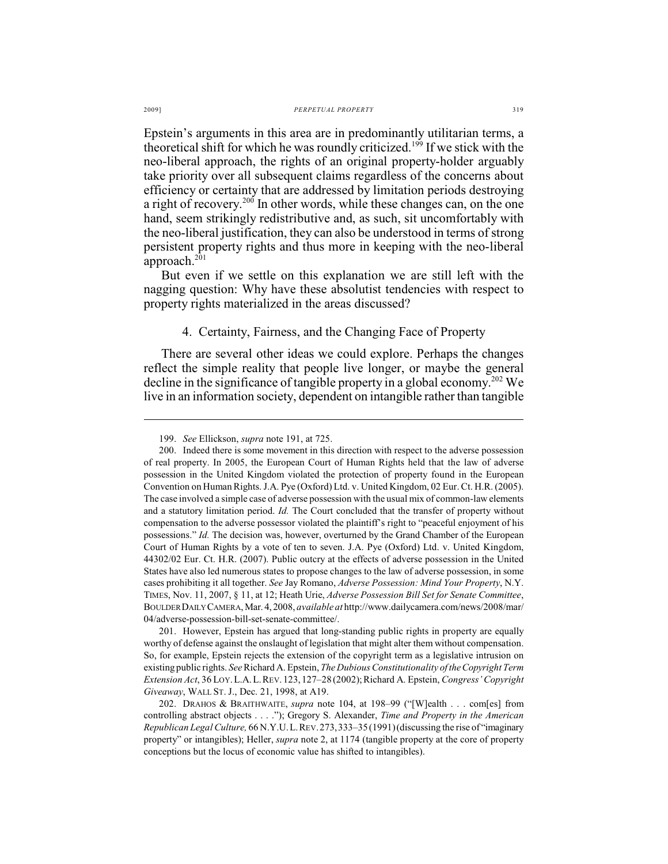Epstein's arguments in this area are in predominantly utilitarian terms, a theoretical shift for which he was roundly criticized.<sup>199</sup> If we stick with the neo-liberal approach, the rights of an original property-holder arguably take priority over all subsequent claims regardless of the concerns about efficiency or certainty that are addressed by limitation periods destroying a right of recovery.<sup>200</sup> In other words, while these changes can, on the one hand, seem strikingly redistributive and, as such, sit uncomfortably with the neo-liberal justification, they can also be understood in terms of strong persistent property rights and thus more in keeping with the neo-liberal approach. $^{201}$ 

But even if we settle on this explanation we are still left with the nagging question: Why have these absolutist tendencies with respect to property rights materialized in the areas discussed?

## 4. Certainty, Fairness, and the Changing Face of Property

There are several other ideas we could explore. Perhaps the changes reflect the simple reality that people live longer, or maybe the general decline in the significance of tangible property in a global economy.<sup>202</sup> We live in an information society, dependent on intangible rather than tangible

201. However, Epstein has argued that long-standing public rights in property are equally worthy of defense against the onslaught of legislation that might alter them without compensation. So, for example, Epstein rejects the extension of the copyright term as a legislative intrusion on existing public rights. *See* Richard A. Epstein, *The Dubious Constitutionality of the Copyright Term Extension Act*, 36 LOY.L.A.L.REV.123,127–28 (2002);Richard A. Epstein, *Congress' Copyright Giveaway*, WALL ST. J., Dec. 21, 1998, at A19.

202. DRAHOS & BRAITHWAITE, *supra* note 104, at 198–99 ("[W]ealth . . . com[es] from controlling abstract objects . . . ."); Gregory S. Alexander, *Time and Property in the American Republican Legal Culture,* 66 N.Y.U.L.REV.273,333–35(1991)(discussing the rise of "imaginary property" or intangibles); Heller, *supra* note 2, at 1174 (tangible property at the core of property conceptions but the locus of economic value has shifted to intangibles).

<sup>199.</sup> *See* Ellickson, *supra* note 191, at 725.

<sup>200.</sup> Indeed there is some movement in this direction with respect to the adverse possession of real property. In 2005, the European Court of Human Rights held that the law of adverse possession in the United Kingdom violated the protection of property found in the European Convention on Human Rights. J.A. Pye (Oxford) Ltd. v. United Kingdom, 02 Eur. Ct. H.R. (2005). The case involved a simple case of adverse possession with the usual mix of common-law elements and a statutory limitation period. *Id.* The Court concluded that the transfer of property without compensation to the adverse possessor violated the plaintiff's right to "peaceful enjoyment of his possessions." *Id.* The decision was, however, overturned by the Grand Chamber of the European Court of Human Rights by a vote of ten to seven. J.A. Pye (Oxford) Ltd. v. United Kingdom, 44302/02 Eur. Ct. H.R. (2007). Public outcry at the effects of adverse possession in the United States have also led numerous states to propose changes to the law of adverse possession, in some cases prohibiting it all together. *See* Jay Romano, *Adverse Possession: Mind Your Property*, N.Y. TIMES, Nov. 11, 2007, § 11, at 12; Heath Urie, *Adverse Possession Bill Set for Senate Committee*, BOULDER DAILY CAMERA, Mar. 4, 2008, *available at* http://www.dailycamera.com/news/2008/mar/ 04/adverse-possession-bill-set-senate-committee/.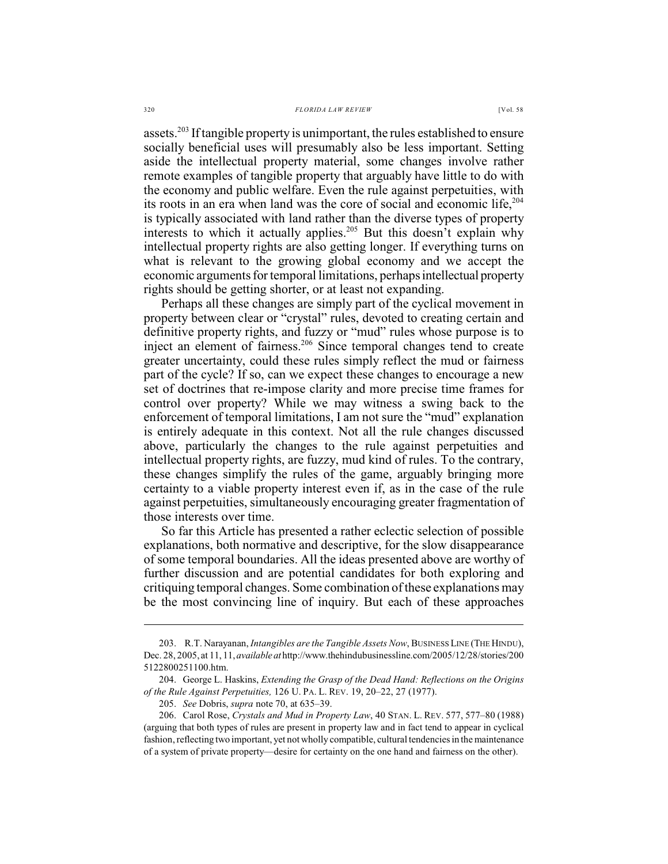assets.<sup>203</sup> If tangible property is unimportant, the rules established to ensure socially beneficial uses will presumably also be less important. Setting aside the intellectual property material, some changes involve rather remote examples of tangible property that arguably have little to do with the economy and public welfare. Even the rule against perpetuities, with its roots in an era when land was the core of social and economic life, 204 is typically associated with land rather than the diverse types of property interests to which it actually applies.<sup>205</sup> But this doesn't explain why intellectual property rights are also getting longer. If everything turns on what is relevant to the growing global economy and we accept the economic arguments for temporal limitations, perhaps intellectual property rights should be getting shorter, or at least not expanding.

Perhaps all these changes are simply part of the cyclical movement in property between clear or "crystal" rules, devoted to creating certain and definitive property rights, and fuzzy or "mud" rules whose purpose is to inject an element of fairness.<sup>206</sup> Since temporal changes tend to create greater uncertainty, could these rules simply reflect the mud or fairness part of the cycle? If so, can we expect these changes to encourage a new set of doctrines that re-impose clarity and more precise time frames for control over property? While we may witness a swing back to the enforcement of temporal limitations, I am not sure the "mud" explanation is entirely adequate in this context. Not all the rule changes discussed above, particularly the changes to the rule against perpetuities and intellectual property rights, are fuzzy, mud kind of rules. To the contrary, these changes simplify the rules of the game, arguably bringing more certainty to a viable property interest even if, as in the case of the rule against perpetuities, simultaneously encouraging greater fragmentation of those interests over time.

So far this Article has presented a rather eclectic selection of possible explanations, both normative and descriptive, for the slow disappearance of some temporal boundaries. All the ideas presented above are worthy of further discussion and are potential candidates for both exploring and critiquing temporal changes. Some combination of these explanations may be the most convincing line of inquiry. But each of these approaches

<sup>203.</sup> R.T. Narayanan, *Intangibles are the Tangible Assets Now*, BUSINESS LINE (THE HINDU), Dec. 28, 2005, at 11, 11, *available at* http://www.thehindubusinessline.com/2005/12/28/stories/200 5122800251100.htm.

<sup>204.</sup> George L. Haskins, *Extending the Grasp of the Dead Hand: Reflections on the Origins of the Rule Against Perpetuities,* 126 U. PA. L. REV. 19, 20–22, 27 (1977).

<sup>205.</sup> *See* Dobris, *supra* note 70, at 635–39.

<sup>206.</sup> Carol Rose, *Crystals and Mud in Property Law*, 40 STAN. L. REV. 577, 577–80 (1988) (arguing that both types of rules are present in property law and in fact tend to appear in cyclical fashion, reflecting two important, yet not wholly compatible, cultural tendencies in the maintenance of a system of private property—desire for certainty on the one hand and fairness on the other).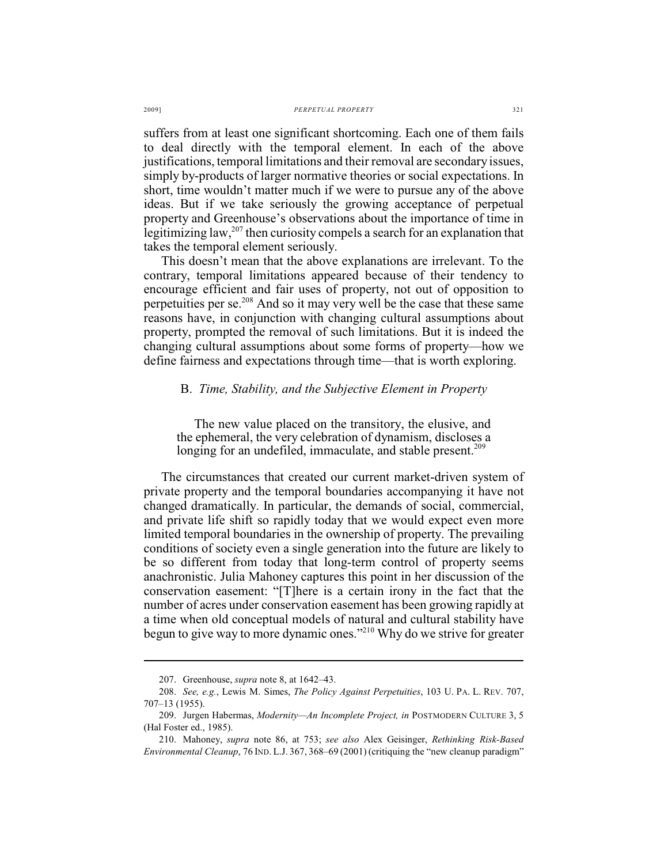#### 2009] *PERPETUAL PROPERTY* 321

suffers from at least one significant shortcoming. Each one of them fails to deal directly with the temporal element. In each of the above justifications, temporal limitations and their removal are secondary issues, simply by-products of larger normative theories or social expectations. In short, time wouldn't matter much if we were to pursue any of the above ideas. But if we take seriously the growing acceptance of perpetual property and Greenhouse's observations about the importance of time in legitimizing law,  $207$  then curiosity compels a search for an explanation that takes the temporal element seriously.

This doesn't mean that the above explanations are irrelevant. To the contrary, temporal limitations appeared because of their tendency to encourage efficient and fair uses of property, not out of opposition to perpetuities per se. $208$  And so it may very well be the case that these same reasons have, in conjunction with changing cultural assumptions about property, prompted the removal of such limitations. But it is indeed the changing cultural assumptions about some forms of property—how we define fairness and expectations through time—that is worth exploring.

### B. *Time, Stability, and the Subjective Element in Property*

The new value placed on the transitory, the elusive, and the ephemeral, the very celebration of dynamism, discloses a longing for an undefiled, immaculate, and stable present.<sup>209</sup>

The circumstances that created our current market-driven system of private property and the temporal boundaries accompanying it have not changed dramatically. In particular, the demands of social, commercial, and private life shift so rapidly today that we would expect even more limited temporal boundaries in the ownership of property. The prevailing conditions of society even a single generation into the future are likely to be so different from today that long-term control of property seems anachronistic. Julia Mahoney captures this point in her discussion of the conservation easement: "[T]here is a certain irony in the fact that the number of acres under conservation easement has been growing rapidly at a time when old conceptual models of natural and cultural stability have begun to give way to more dynamic ones."<sup>210</sup> Why do we strive for greater

<sup>207.</sup> Greenhouse, *supra* note 8, at 1642–43.

<sup>208.</sup> *See, e.g.*, Lewis M. Simes, *The Policy Against Perpetuities*, 103 U. PA. L. REV. 707, 707–13 (1955).

<sup>209.</sup> Jurgen Habermas, *Modernity—An Incomplete Project, in* POSTMODERN CULTURE 3, 5 (Hal Foster ed., 1985).

<sup>210.</sup> Mahoney, *supra* note 86, at 753; *see also* Alex Geisinger, *Rethinking Risk-Based Environmental Cleanup*, 76 IND. L.J. 367, 368–69 (2001) (critiquing the "new cleanup paradigm"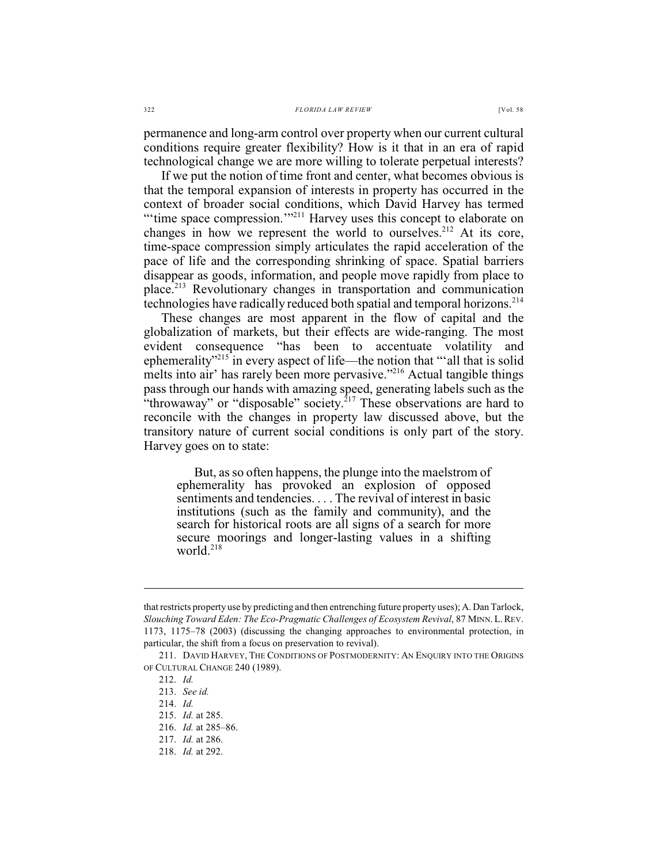permanence and long-arm control over property when our current cultural conditions require greater flexibility? How is it that in an era of rapid technological change we are more willing to tolerate perpetual interests?

If we put the notion of time front and center, what becomes obvious is that the temporal expansion of interests in property has occurred in the context of broader social conditions, which David Harvey has termed "'time space compression."<sup>211</sup> Harvey uses this concept to elaborate on changes in how we represent the world to ourselves.<sup>212</sup> At its core, time-space compression simply articulates the rapid acceleration of the pace of life and the corresponding shrinking of space. Spatial barriers disappear as goods, information, and people move rapidly from place to place.<sup>213</sup> Revolutionary changes in transportation and communication technologies have radically reduced both spatial and temporal horizons.<sup>214</sup>

These changes are most apparent in the flow of capital and the globalization of markets, but their effects are wide-ranging. The most evident consequence "has been to accentuate volatility and ephemerality"<sup>215</sup> in every aspect of life—the notion that ""all that is solid melts into air' has rarely been more pervasive."<sup>216</sup> Actual tangible things pass through our hands with amazing speed, generating labels such as the "throwaway" or "disposable" society. $^{217}$  These observations are hard to reconcile with the changes in property law discussed above, but the transitory nature of current social conditions is only part of the story. Harvey goes on to state:

But, as so often happens, the plunge into the maelstrom of ephemerality has provoked an explosion of opposed sentiments and tendencies. . . . The revival of interest in basic institutions (such as the family and community), and the search for historical roots are all signs of a search for more secure moorings and longer-lasting values in a shifting world.218

that restricts property use by predicting and then entrenching future property uses); A. Dan Tarlock, *Slouching Toward Eden: The Eco-Pragmatic Challenges of Ecosystem Revival*, 87 MINN.L.REV. 1173, 1175–78 (2003) (discussing the changing approaches to environmental protection, in particular, the shift from a focus on preservation to revival).

<sup>211.</sup> DAVID HARVEY, THE CONDITIONS OF POSTMODERNITY: AN ENQUIRY INTO THE ORIGINS OF CULTURAL CHANGE 240 (1989).

<sup>212.</sup> *Id.*

<sup>213.</sup> *See id.*

<sup>214.</sup> *Id.*

<sup>215.</sup> *Id.* at 285.

<sup>216.</sup> *Id.* at 285–86.

<sup>217.</sup> *Id.* at 286.

<sup>218.</sup> *Id.* at 292.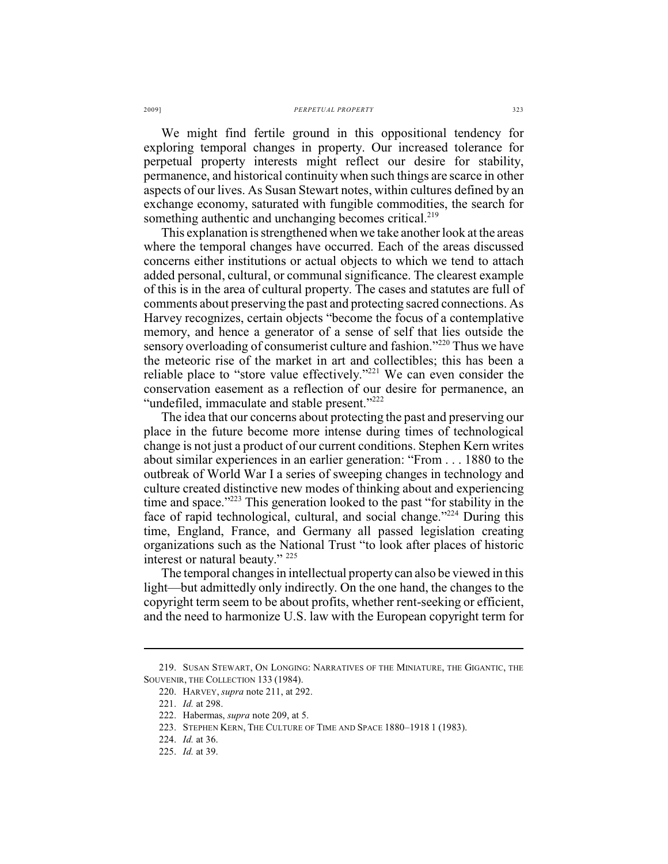We might find fertile ground in this oppositional tendency for exploring temporal changes in property. Our increased tolerance for perpetual property interests might reflect our desire for stability, permanence, and historical continuity when such things are scarce in other aspects of our lives. As Susan Stewart notes, within cultures defined by an exchange economy, saturated with fungible commodities, the search for something authentic and unchanging becomes critical.<sup>219</sup>

This explanation is strengthened when we take another look at the areas where the temporal changes have occurred. Each of the areas discussed concerns either institutions or actual objects to which we tend to attach added personal, cultural, or communal significance. The clearest example of this is in the area of cultural property. The cases and statutes are full of comments about preserving the past and protecting sacred connections. As Harvey recognizes, certain objects "become the focus of a contemplative memory, and hence a generator of a sense of self that lies outside the sensory overloading of consumerist culture and fashion."<sup>220</sup> Thus we have the meteoric rise of the market in art and collectibles; this has been a reliable place to "store value effectively."<sup> $221$ </sup> We can even consider the conservation easement as a reflection of our desire for permanence, an "undefiled, immaculate and stable present."<sup>222</sup>

The idea that our concerns about protecting the past and preserving our place in the future become more intense during times of technological change is not just a product of our current conditions. Stephen Kern writes about similar experiences in an earlier generation: "From . . . 1880 to the outbreak of World War I a series of sweeping changes in technology and culture created distinctive new modes of thinking about and experiencing time and space." $223$  This generation looked to the past "for stability in the face of rapid technological, cultural, and social change."<sup>224</sup> During this time, England, France, and Germany all passed legislation creating organizations such as the National Trust "to look after places of historic interest or natural beauty." <sup>225</sup>

The temporal changes in intellectual property can also be viewed in this light—but admittedly only indirectly. On the one hand, the changes to the copyright term seem to be about profits, whether rent-seeking or efficient, and the need to harmonize U.S. law with the European copyright term for

<sup>219.</sup> SUSAN STEWART, ON LONGING: NARRATIVES OF THE MINIATURE, THE GIGANTIC, THE SOUVENIR, THE COLLECTION 133 (1984).

<sup>220.</sup> HARVEY, *supra* note 211, at 292.

<sup>221.</sup> *Id.* at 298.

<sup>222.</sup> Habermas, *supra* note 209, at 5.

<sup>223.</sup> STEPHEN KERN, THE CULTURE OF TIME AND SPACE 1880–1918 1 (1983).

<sup>224.</sup> *Id.* at 36.

<sup>225.</sup> *Id.* at 39.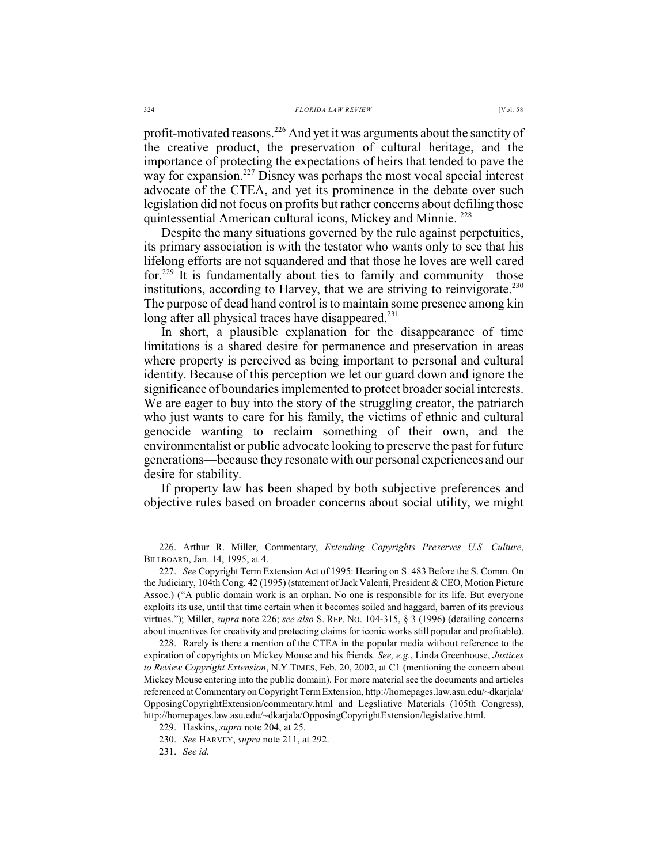profit-motivated reasons. $2^{26}$  And yet it was arguments about the sanctity of the creative product, the preservation of cultural heritage, and the importance of protecting the expectations of heirs that tended to pave the way for expansion.<sup> $227$ </sup> Disney was perhaps the most vocal special interest advocate of the CTEA, and yet its prominence in the debate over such legislation did not focus on profits but rather concerns about defiling those quintessential American cultural icons, Mickey and Minnie. <sup>228</sup>

Despite the many situations governed by the rule against perpetuities, its primary association is with the testator who wants only to see that his lifelong efforts are not squandered and that those he loves are well cared for.<sup>229</sup> It is fundamentally about ties to family and community—those institutions, according to Harvey, that we are striving to reinvigorate.<sup>230</sup> The purpose of dead hand control is to maintain some presence among kin long after all physical traces have disappeared.<sup>231</sup>

In short, a plausible explanation for the disappearance of time limitations is a shared desire for permanence and preservation in areas where property is perceived as being important to personal and cultural identity. Because of this perception we let our guard down and ignore the significance of boundaries implemented to protect broader social interests. We are eager to buy into the story of the struggling creator, the patriarch who just wants to care for his family, the victims of ethnic and cultural genocide wanting to reclaim something of their own, and the environmentalist or public advocate looking to preserve the past for future generations—because they resonate with our personal experiences and our desire for stability.

If property law has been shaped by both subjective preferences and objective rules based on broader concerns about social utility, we might

<sup>226.</sup> Arthur R. Miller, Commentary, *Extending Copyrights Preserves U.S. Culture*, BILLBOARD, Jan. 14, 1995, at 4.

<sup>227.</sup> *See* Copyright Term Extension Act of 1995: Hearing on S. 483 Before the S. Comm. On the Judiciary, 104th Cong. 42 (1995) (statement of Jack Valenti, President & CEO, Motion Picture Assoc.) ("A public domain work is an orphan. No one is responsible for its life. But everyone exploits its use, until that time certain when it becomes soiled and haggard, barren of its previous virtues."); Miller, *supra* note 226; *see also* S. REP. NO. 104-315, § 3 (1996) (detailing concerns about incentives for creativity and protecting claims for iconic works still popular and profitable).

<sup>228.</sup> Rarely is there a mention of the CTEA in the popular media without reference to the expiration of copyrights on Mickey Mouse and his friends. *See, e.g.*, Linda Greenhouse, *Justices to Review Copyright Extension*, N.Y.TIMES, Feb. 20, 2002, at C1 (mentioning the concern about Mickey Mouse entering into the public domain). For more material see the documents and articles referenced at Commentary on Copyright Term Extension, http://homepages.law.asu.edu/~dkarjala/ OpposingCopyrightExtension/commentary.html and Legsliative Materials (105th Congress), http://homepages.law.asu.edu/~dkarjala/OpposingCopyrightExtension/legislative.html.

<sup>229.</sup> Haskins, *supra* note 204, at 25.

<sup>230.</sup> *See* HARVEY, *supra* note 211, at 292.

<sup>231.</sup> *See id.*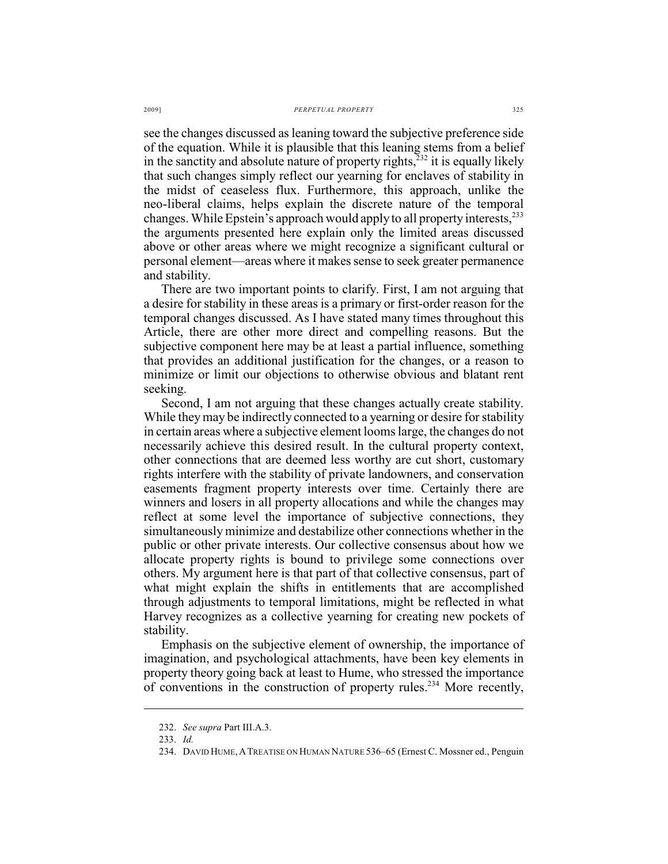see the changes discussed as leaning toward the subjective preference side of the equation. While it is plausible that this leaning stems from a belief in the sanctity and absolute nature of property rights,  $\frac{1}{2}$  it is equally likely that such changes simply reflect our yearning for enclaves of stability in the midst of ceaseless flux. Furthermore, this approach, unlike the neo-liberal claims, helps explain the discrete nature of the temporal changes. While Epstein's approach would apply to all property interests,<sup>233</sup> the arguments presented here explain only the limited areas discussed above or other areas where we might recognize a significant cultural or personal element—areas where it makes sense to seek greater permanence and stability.

There are two important points to clarify. First, I am not arguing that a desire for stability in these areas is a primary or first-order reason for the temporal changes discussed. As I have stated many times throughout this Article, there are other more direct and compelling reasons. But the subjective component here may be at least a partial influence, something that provides an additional justification for the changes, or a reason to minimize or limit our objections to otherwise obvious and blatant rent seeking.

Second, I am not arguing that these changes actually create stability. While they may be indirectly connected to a yearning or desire for stability in certain areas where a subjective element looms large, the changes do not necessarily achieve this desired result. In the cultural property context, other connections that are deemed less worthy are cut short, customary rights interfere with the stability of private landowners, and conservation easements fragment property interests over time. Certainly there are winners and losers in all property allocations and while the changes may reflect at some level the importance of subjective connections, they simultaneously minimize and destabilize other connections whether in the public or other private interests. Our collective consensus about how we allocate property rights is bound to privilege some connections over others. My argument here is that part of that collective consensus, part of what might explain the shifts in entitlements that are accomplished through adjustments to temporal limitations, might be reflected in what Harvey recognizes as a collective yearning for creating new pockets of stability.

Emphasis on the subjective element of ownership, the importance of imagination, and psychological attachments, have been key elements in property theory going back at least to Hume, who stressed the importance of conventions in the construction of property rules.<sup>234</sup> More recently,

<sup>232.</sup> *See supra* Part III.A.3.

<sup>233.</sup> *Id.*

<sup>234.</sup> DAVID HUME,ATREATISE ON HUMAN NATURE 536–65 (Ernest C. Mossner ed., Penguin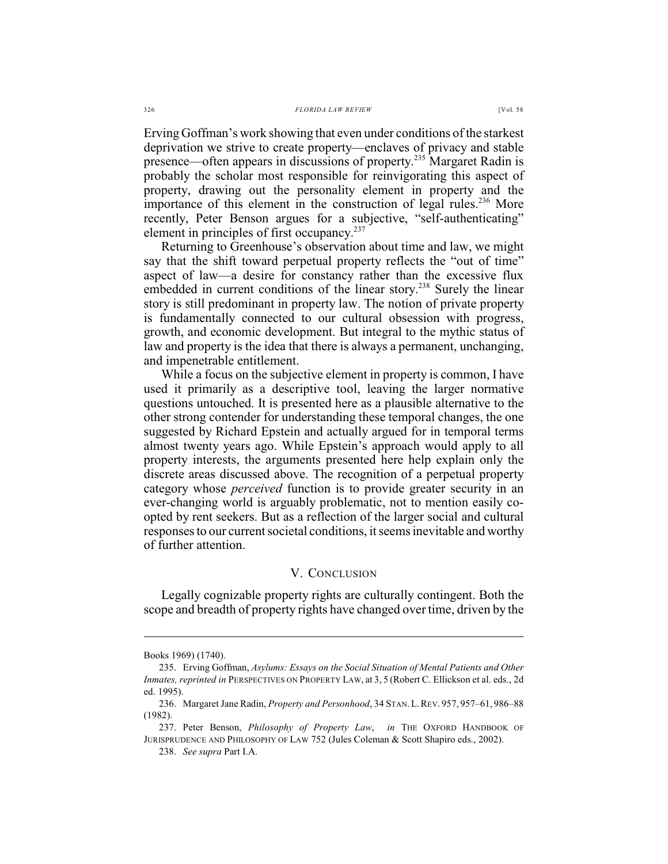Erving Goffman's work showing that even under conditions of the starkest deprivation we strive to create property—enclaves of privacy and stable presence—often appears in discussions of property.<sup>235</sup> Margaret Radin is probably the scholar most responsible for reinvigorating this aspect of property, drawing out the personality element in property and the importance of this element in the construction of legal rules.<sup>236</sup> More recently, Peter Benson argues for a subjective, "self-authenticating" element in principles of first occupancy.<sup>237</sup>

Returning to Greenhouse's observation about time and law, we might say that the shift toward perpetual property reflects the "out of time" aspect of law—a desire for constancy rather than the excessive flux embedded in current conditions of the linear story.<sup>238</sup> Surely the linear story is still predominant in property law. The notion of private property is fundamentally connected to our cultural obsession with progress, growth, and economic development. But integral to the mythic status of law and property is the idea that there is always a permanent, unchanging, and impenetrable entitlement.

While a focus on the subjective element in property is common, I have used it primarily as a descriptive tool, leaving the larger normative questions untouched. It is presented here as a plausible alternative to the other strong contender for understanding these temporal changes, the one suggested by Richard Epstein and actually argued for in temporal terms almost twenty years ago. While Epstein's approach would apply to all property interests, the arguments presented here help explain only the discrete areas discussed above. The recognition of a perpetual property category whose *perceived* function is to provide greater security in an ever-changing world is arguably problematic, not to mention easily coopted by rent seekers. But as a reflection of the larger social and cultural responses to our current societal conditions, it seems inevitable and worthy of further attention.

### V. CONCLUSION

Legally cognizable property rights are culturally contingent. Both the scope and breadth of property rights have changed over time, driven by the

Books 1969) (1740).

<sup>235.</sup> Erving Goffman, *Asylums: Essays on the Social Situation of Mental Patients and Other Inmates, reprinted in* PERSPECTIVES ON PROPERTY LAW, at 3, 5 (Robert C. Ellickson et al. eds., 2d ed. 1995).

<sup>236.</sup> Margaret Jane Radin, *Property and Personhood*, 34 STAN.L.REV. 957, 957–61, 986–88 (1982).

<sup>237.</sup> Peter Benson, *Philosophy of Property Law*, *in* THE OXFORD HANDBOOK OF JURISPRUDENCE AND PHILOSOPHY OF LAW 752 (Jules Coleman & Scott Shapiro eds., 2002).

<sup>238.</sup> *See supra* Part I.A.